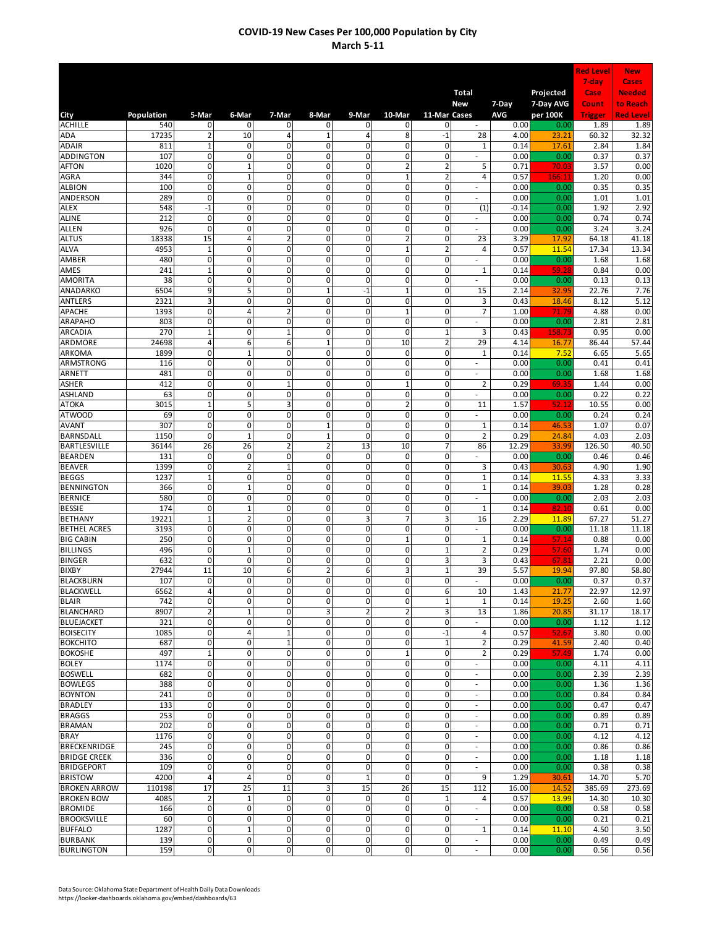|                                       |              |                                |                                        |                                        |                              |                     |                             |                               |                                                      |                 |                        | <b>Red Level</b> | <b>New</b>                 |
|---------------------------------------|--------------|--------------------------------|----------------------------------------|----------------------------------------|------------------------------|---------------------|-----------------------------|-------------------------------|------------------------------------------------------|-----------------|------------------------|------------------|----------------------------|
|                                       |              |                                |                                        |                                        |                              |                     |                             |                               |                                                      |                 |                        | 7-day            | Cases                      |
|                                       |              |                                |                                        |                                        |                              |                     |                             |                               | <b>Total</b><br>New                                  | 7-Day           | Projected<br>7-Day AVG | Case<br>Count    | <b>Needed</b><br>to Reach  |
| City                                  | Population   | 5-Mar                          | 6-Mar                                  | 7-Mar                                  | 8-Mar                        | 9-Mar               | 10-Mar                      | 11-Mar Cases                  |                                                      | <b>AVG</b>      | per 100K               | <b>Trigger</b>   | <b>Red Level</b>           |
| <b>ACHILLE</b>                        | 540          | $\mathbf 0$                    | 0                                      | 0                                      | 0                            | 0                   | 0                           | 0                             | $\sim$                                               | 0.00            | 0.00                   | 1.89             | 1.89                       |
| ADA                                   | 17235        | $\overline{2}$                 | 10                                     | 4                                      | $\mathbf 1$                  | 4                   | 8                           | $-1$                          | 28                                                   | 4.00            | 23.21                  | 60.32            | 32.32                      |
| <b>ADAIR</b><br>ADDINGTON             | 811<br>107   | $\mathbf{1}$<br>$\mathbf 0$    | 0<br>$\overline{0}$                    | $\mathbf 0$<br>0                       | 0<br>0                       | 0<br>$\mathbf 0$    | 0<br>0                      | 0<br>$\mathbf 0$              | 1                                                    | 0.14<br>0.00    | 17.61<br>0.00          | 2.84<br>0.37     | 1.84<br>0.37               |
| <b>AFTON</b>                          | 1020         | $\mathbf 0$                    | $\mathbf{1}$                           | 0                                      | 0                            | 0                   | $\overline{2}$              | $\overline{2}$                | 5                                                    | 0.71            | 70.0                   | 3.57             | 0.00                       |
| AGRA                                  | 344          | 0                              | $\mathbf{1}$                           | 0                                      | 0                            | 0                   | $\overline{1}$              | $\overline{2}$                | 4                                                    | 0.57            | 166.1                  | 1.20             | 0.00                       |
| <b>ALBION</b>                         | 100          | $\mathbf 0$                    | 0                                      | 0                                      | 0                            | 0                   | 0                           | $\mathbf 0$                   |                                                      | 0.00            | 0.00                   | 0.35             | 0.35                       |
| ANDERSON                              | 289          | 0                              | 0                                      | 0                                      | 0                            | 0                   | 0                           | 0                             |                                                      | 0.00            | 0.00                   | 1.01             | 1.01                       |
| <b>ALEX</b><br><b>ALINE</b>           | 548<br>212   | $-1$<br>0                      | $\mathsf 0$<br>0                       | $\mathbf 0$<br>$\overline{0}$          | 0<br>0                       | 0<br>0              | $\mathbf 0$<br>$\mathbf 0$  | 0<br>$\mathbf 0$              | (1)<br>$\sim$                                        | $-0.14$<br>0.00 | 0.00<br>0.00           | 1.92<br>0.74     | 2.92<br>0.74               |
| <b>ALLEN</b>                          | 926          | 0                              | 0                                      | $\overline{0}$                         | 0                            | 0                   | 0                           | 0                             | ä,                                                   | 0.00            | 0.00                   | 3.24             | 3.24                       |
| <b>ALTUS</b>                          | 18338        | 15                             | 4                                      | $\overline{2}$                         | 0                            | 0                   | $\overline{2}$              | $\mathbf 0$                   | 23                                                   | 3.29            | 17.92                  | 64.18            | 41.18                      |
| <b>ALVA</b>                           | 4953         | $\mathbf{1}$                   | $\overline{0}$                         | $\mathbf 0$                            | 0                            | 0                   | $\mathbf 1$                 | $\overline{2}$                | 4                                                    | 0.57            | 11.54                  | 17.34            | 13.34                      |
| AMBER<br>AMES                         | 480<br>241   | 0<br>$\mathbf{1}$              | 0<br>0                                 | $\mathbf 0$<br>0                       | 0<br>0                       | 0<br>0              | $\mathbf 0$<br>0            | $\mathbf 0$<br>0              | ä,<br>$\mathbf{1}$                                   | 0.00<br>0.14    | 0.00                   | 1.68<br>0.84     | 1.68<br>0.00               |
| <b>AMORITA</b>                        | 38           | $\mathbf 0$                    | 0                                      | $\mathbf 0$                            | 0                            | $\mathbf 0$         | 0                           | $\mathbf 0$                   | ä,                                                   | 0.00            | 59.28<br>0.00          | 0.13             | 0.13                       |
| ANADARKO                              | 6504         | 9                              | 5                                      | 0                                      | $\overline{1}$               | $-1$                | $\mathbf 1$                 | 0                             | 15                                                   | 2.14            | 32.95                  | 22.76            | 7.76                       |
| <b>ANTLERS</b>                        | 2321         | 3                              | 0                                      | 0                                      | 0                            | 0                   | 0                           | 0                             | 3                                                    | 0.43            | 18.46                  | 8.12             | 5.12                       |
| APACHE                                | 1393         | 0                              | 4                                      | $\overline{2}$                         | 0                            | 0                   | $\mathbf 1$                 | 0                             | $\overline{7}$                                       | 1.00            | 71.79                  | 4.88             | 0.00                       |
| ARAPAHO                               | 803<br>270   | 0<br>$\mathbf{1}$              | $\overline{0}$<br>0                    | 0<br>$\overline{1}$                    | $\mathbf 0$<br>0             | 0<br>0              | 0<br>$\mathbf 0$            | 0<br>$\mathbf{1}$             | $\overline{\phantom{a}}$                             | 0.00            | 0.00                   | 2.81<br>0.95     | 2.81                       |
| ARCADIA<br>ARDMORE                    | 24698        | 4                              | 6                                      | $\overline{6}$                         | $\mathbf{1}$                 | 0                   | 10                          | $\overline{2}$                | 3<br>29                                              | 0.43<br>4.14    | 158.73<br>16.77        | 86.44            | 0.00<br>$\overline{57.44}$ |
| ARKOMA                                | 1899         | $\mathbf 0$                    | $\mathbf{1}$                           | $\mathbf 0$                            | 0                            | $\mathbf 0$         | 0                           | $\mathbf 0$                   | 1                                                    | 0.14            | 7.52                   | 6.65             | 5.65                       |
| ARMSTRONG                             | 116          | $\mathbf 0$                    | 0                                      | 0                                      | 0                            | 0                   | 0                           | $\mathbf 0$                   |                                                      | 0.00            | 0.00                   | 0.41             | 0.41                       |
| ARNETT                                | 481          | $\mathbf 0$                    | 0                                      | 0                                      | 0                            | 0                   | 0                           | $\mathbf 0$                   |                                                      | 0.00            | 0.00                   | 1.68             | 1.68                       |
| <b>ASHER</b><br>ASHLAND               | 412<br>63    | $\mathbf 0$<br>0               | 0<br>0                                 | $\mathbf{1}$<br>0                      | 0<br>0                       | 0<br>0              | $\mathbf{1}$<br>0           | $\mathbf 0$<br>$\mathbf 0$    | $\overline{2}$                                       | 0.29<br>0.00    | 69.3<br>0.00           | 1.44<br>0.22     | 0.00<br>0.22               |
| <b>ATOKA</b>                          | 3015         | $\mathbf{1}$                   | 5                                      | 3                                      | 0                            | 0                   | $\overline{2}$              | 0                             | 11                                                   | 1.57            | 52.1                   | 10.55            | 0.00                       |
| <b>ATWOOD</b>                         | 69           | $\overline{0}$                 | 0                                      | $\overline{0}$                         | 0                            | 0                   | $\overline{0}$              | 0                             | ÷.                                                   | 0.00            | 0.00                   | 0.24             | 0.24                       |
| <b>AVANT</b>                          | 307          | 0                              | 0                                      | $\mathbf 0$                            | $\mathbf 1$                  | 0                   | 0                           | 0                             | 1                                                    | 0.14            | 46.53                  | 1.07             | 0.07                       |
| <b>BARNSDALL</b>                      | 1150         | 0                              | $\overline{1}$                         | $\overline{0}$                         | $\mathbf{1}$                 | $\mathbf 0$         | $\overline{0}$              | $\mathbf 0$                   | $\overline{2}$                                       | 0.29            | 24.84                  | 4.03             | 2.03                       |
| <b>BARTLESVILLE</b><br><b>BEARDEN</b> | 36144<br>131 | 26<br>$\mathbf 0$              | 26<br>0                                | $\overline{\mathbf{c}}$<br>$\mathbf 0$ | $\overline{\mathbf{c}}$<br>0 | 13<br>$\pmb{0}$     | 10<br>$\mathbf 0$           | $\overline{7}$<br>$\mathbf 0$ | 86<br>÷,                                             | 12.29<br>0.00   | 33.99<br>0.00          | 126.50<br>0.46   | 40.50<br>0.46              |
| <b>BEAVER</b>                         | 1399         | 0                              | $\overline{\mathbf{c}}$                | $\mathbf{1}$                           | 0                            | 0                   | 0                           | 0                             | 3                                                    | 0.43            | 30.63                  | 4.90             | 1.90                       |
| <b>BEGGS</b>                          | 1237         | $\mathbf{1}$                   | 0                                      | $\mathbf 0$                            | 0                            | $\mathbf 0$         | 0                           | $\mathbf 0$                   | $\mathbf 1$                                          | 0.14            | 11.55                  | 4.33             | 3.33                       |
| <b>BENNINGTON</b>                     | 366          | 0                              | $\mathbf{1}$                           | 0                                      | 0                            | 0                   | 0                           | 0                             | 1                                                    | 0.14            | 39.03                  | 1.28             | 0.28                       |
| <b>BERNICE</b>                        | 580<br>174   | 0<br>0                         | 0<br>$\mathbf{1}$                      | 0<br>$\mathbf 0$                       | 0<br>0                       | 0<br>0              | 0<br>$\pmb{0}$              | 0                             | $\overline{\phantom{a}}$                             | 0.00            | 0.00                   | 2.03             | 2.03                       |
| <b>BESSIE</b><br><b>BETHANY</b>       | 19221        | $\mathbf{1}$                   | $\overline{2}$                         | $\overline{0}$                         | $\mathbf 0$                  | 3                   | 7                           | 0<br>3                        | 1<br>16                                              | 0.14<br>2.29    | 82.10<br>11.89         | 0.61<br>67.27    | 0.00<br>51.27              |
| <b>BETHEL ACRES</b>                   | 3193         | 0                              | 0                                      | $\mathbf 0$                            | 0                            | 0                   | 0                           | 0                             | $\sim$                                               | 0.00            | 0.00                   | 11.18            | 11.18                      |
| <b>BIG CABIN</b>                      | 250          | 0                              | $\overline{0}$                         | $\mathbf 0$                            | $\overline{0}$               | 0                   | $\mathbf{1}$                | $\mathbf 0$                   | $\mathbf 1$                                          | 0.14            | 57.14                  | 0.88             | 0.00                       |
| <b>BILLINGS</b>                       | 496          | $\mathbf 0$                    | $\mathbf{1}$                           | $\mathbf 0$                            | 0                            | $\mathbf 0$         | 0                           | $\mathbf{1}$                  | $\overline{\mathbf{c}}$                              | 0.29            | 57.60                  | 1.74             | 0.00                       |
| <b>BINGER</b><br><b>BIXBY</b>         | 632<br>27944 | $\mathbf 0$<br>11              | 0<br>10                                | 0<br>6                                 | 0<br>$\overline{2}$          | 0<br>6              | 0<br>3                      | 3<br>$\mathbf{1}$             | 3<br>39                                              | 0.43<br>5.57    | 67.8<br>19.94          | 2.21<br>97.80    | 0.00<br>58.80              |
| <b>BLACKBURN</b>                      | 107          | $\mathbf 0$                    | $\overline{0}$                         | 0                                      | 0                            | 0                   | 0                           | $\mathbf 0$                   |                                                      | 0.00            | 0.00                   | 0.37             | 0.37                       |
| <b>BLACKWELL</b>                      | 6562         | 4                              | 0                                      | 0                                      | 0                            | 0                   | $\pmb{0}$                   | 6                             | 10                                                   | 1.43            | 21.77                  | 22.97            | 12.97                      |
| <b>BLAIR</b>                          | 742          | $\mathbf 0$                    | o                                      | $\mathbf 0$                            | $\mathbf 0$                  | 0                   | $\pmb{0}$                   | $\mathbf 1$                   | 1                                                    | 0.14            | 19.25                  | 2.60             | 1.60                       |
| <b>BLANCHARD</b>                      | 8907         | $\overline{2}$                 | $\overline{1}$                         | $\overline{\mathbf{0}}$                | 3                            | 2                   | 2                           | 3                             | 13                                                   | 1.86            | 20.85                  | 31.17            | 18.17                      |
| <b>BLUEJACKET</b><br><b>BOISECITY</b> | 321<br>1085  | 0<br>$\mathsf{o}$              | $\mathsf 0$<br>4                       | $\pmb{0}$<br>$\overline{1}$            | 0<br>$\overline{0}$          | 0<br>$\overline{0}$ | $\pmb{0}$<br>$\overline{0}$ | 0<br>$-1$                     | ÷.<br>4                                              | 0.00<br>0.57    | 0.00<br>52.67          | 1.12<br>3.80     | 1.12<br>0.00               |
| <b>BOKCHITO</b>                       | 687          | $\mathbf 0$                    | $\overline{0}$                         | $\mathbf 1$                            | $\overline{0}$               | 0                   | $\overline{0}$              | $\mathbf 1$                   | $\overline{2}$                                       | 0.29            | 41.59                  | 2.40             | 0.40                       |
| <b>BOKOSHE</b>                        | 497          | $\mathbf{1}$                   | $\overline{0}$                         | $\mathbf 0$                            | $\mathbf 0$                  | 0                   | $\mathbf 1$                 | $\mathbf 0$                   | $\overline{2}$                                       | 0.29            | 57.49                  | 1.74             | 0.00                       |
| <b>BOLEY</b>                          | 1174         | $\pmb{0}$                      | 0                                      | $\mathbf 0$                            | 0                            | $\pmb{0}$           | $\pmb{0}$                   | 0                             | $\overline{\phantom{a}}$                             | 0.00            | 0.00                   | 4.11             | 4.11                       |
| <b>BOSWELL</b>                        | 682          | $\mathbf 0$<br>$\mathbf 0$     | 0<br>0                                 | 0<br>$\mathbf 0$                       | 0<br>$\mathbf 0$             | 0                   | 0<br>$\pmb{0}$              | 0                             | $\overline{\phantom{a}}$                             | 0.00            | 0.00                   | 2.39             | 2.39                       |
| <b>BOWLEGS</b><br><b>BOYNTON</b>      | 388<br>241   | $\mathbf 0$                    | $\pmb{0}$                              | $\mathbf 0$                            | $\mathbf 0$                  | 0<br>0              | $\pmb{0}$                   | 0<br>0                        | $\overline{\phantom{a}}$<br>$\overline{\phantom{a}}$ | 0.00<br>0.00    | 0.00<br>0.00           | 1.36<br>0.84     | 1.36<br>0.84               |
| <b>BRADLEY</b>                        | 133          | $\mathbf 0$                    | $\mathbf 0$                            | $\mathbf 0$                            | $\mathbf{0}$                 | $\mathbf 0$         | $\pmb{0}$                   | 0                             | $\sim$                                               | 0.00            | 0.00                   | 0.47             | 0.47                       |
| <b>BRAGGS</b>                         | 253          | $\mathbf 0$                    | 0                                      | $\overline{\mathbf{0}}$                | $\overline{\mathbf{0}}$      | $\mathbf 0$         | 0                           | 0                             | $\sim$                                               | 0.00            | 0.00                   | 0.89             | 0.89                       |
| <b>BRAMAN</b>                         | 202          | $\mathbf 0$                    | $\overline{0}$                         | 0                                      | $\mathbf 0$                  | 0                   | $\pmb{0}$                   | 0                             | $\sim$                                               | 0.00            | 0.00                   | 0.71             | 0.71                       |
| <b>BRAY</b>                           | 1176<br>245  | $\mathbf 0$<br>$\mathbf 0$     | 0<br>0                                 | 0<br>$\mathbf 0$                       | $\mathbf 0$<br>0             | 0<br>0              | 0<br>0                      | 0<br>$\mathbf 0$              | $\sim$                                               | 0.00<br>0.00    | 0.00<br>0.00           | 4.12<br>0.86     | 4.12<br>0.86               |
| BRECKENRIDGE<br><b>BRIDGE CREEK</b>   | 336          | 0                              | $\overline{0}$                         | 0                                      | 0                            | 0                   | 0                           | 0                             | $\overline{\phantom{a}}$<br>$\sim$                   | 0.00            | 0.00                   | 1.18             | 1.18                       |
| <b>BRIDGEPORT</b>                     | 109          | 0                              | 0                                      | $\mathbf 0$                            | 0                            | 0                   | 0                           | $\mathbf 0$                   |                                                      | 0.00            | 0.00                   | 0.38             | 0.38                       |
| <b>BRISTOW</b>                        | 4200         | 4                              | 4                                      | 0                                      | 0                            | $\overline{1}$      | $\mathbf 0$                 | 0                             | 9                                                    | 1.29            | 30.61                  | 14.70            | 5.70                       |
| <b>BROKEN ARROW</b>                   | 110198       | 17                             | 25                                     | 11                                     | 3                            | 15                  | 26                          | 15                            | 112                                                  | 16.00           | 14.52                  | 385.69           | 273.69                     |
| <b>BROKEN BOW</b>                     | 4085         | $\overline{2}$<br>$\mathsf{o}$ | $\mathbf 1$<br>$\overline{\mathbf{0}}$ | $\pmb{0}$<br>$\overline{\mathbf{0}}$   | 0<br>$\mathbf 0$             | 0<br>$\mathbf 0$    | 0<br>$\pmb{0}$              | $\mathbf{1}$<br>$\pmb{0}$     | 4<br>$\sim$                                          | 0.57            | 13.99                  | 14.30            | 10.30                      |
| <b>BROMIDE</b><br><b>BROOKSVILLE</b>  | 166<br>60    | 0                              | 0                                      | $\mathbf 0$                            | 0                            | 0                   | $\pmb{0}$                   | 0                             | $\overline{\phantom{a}}$                             | 0.00<br>0.00    | 0.00<br>0.00           | 0.58<br>0.21     | 0.58<br>0.21               |
| <b>BUFFALO</b>                        | 1287         | $\mathsf{o}$                   | $\mathbf 1$                            | $\overline{0}$                         | 0                            | 0                   | $\overline{0}$              | $\mathbf 0$                   | 1                                                    | 0.14            | 11.10                  | 4.50             | 3.50                       |
| <b>BURBANK</b>                        | 139          | $\pmb{0}$                      | O                                      | $\pmb{0}$                              | $\mathbf 0$                  | $\pmb{0}$           | $\pmb{0}$                   | 0                             | ÷.                                                   | 0.00            | 0.00                   | 0.49             | 0.49                       |
| <b>BURLINGTON</b>                     | 159          | $\overline{0}$                 | 0                                      | $\mathbf 0$                            | $\mathbf 0$                  | $\overline{0}$      | $\overline{0}$              | $\pmb{0}$                     | $\sim$                                               | 0.00            | 0.00                   | 0.56             | 0.56                       |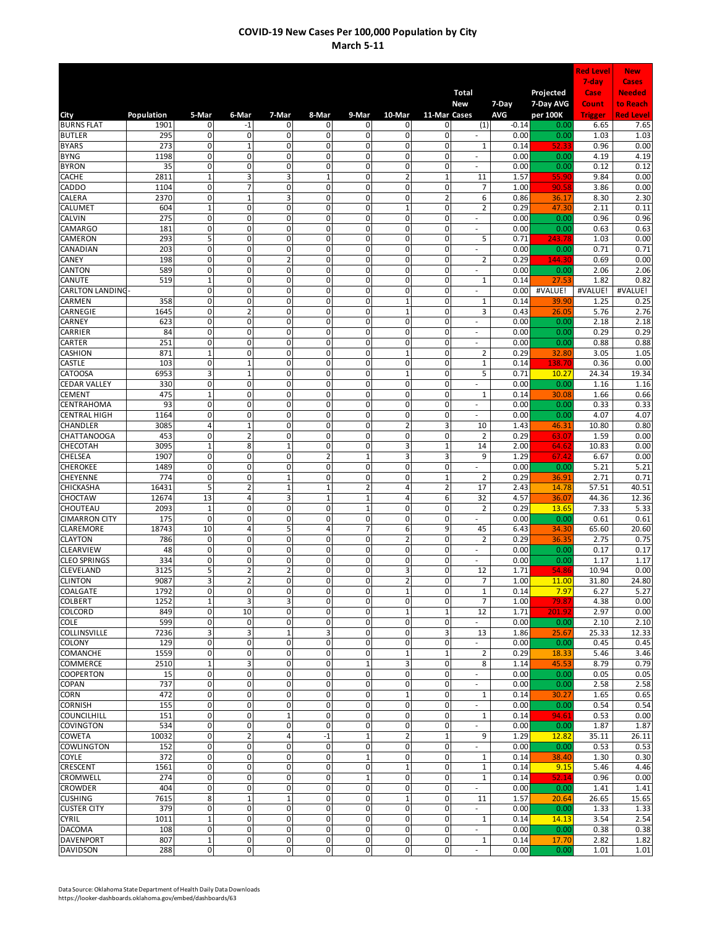|                                      |               |                              |                                        |                         |                                  |                             |                             |                                        |                                            |                     |                       | <b>Red Level</b> | <b>New</b>                |
|--------------------------------------|---------------|------------------------------|----------------------------------------|-------------------------|----------------------------------|-----------------------------|-----------------------------|----------------------------------------|--------------------------------------------|---------------------|-----------------------|------------------|---------------------------|
|                                      |               |                              |                                        |                         |                                  |                             |                             |                                        |                                            |                     |                       | 7-day            | <b>Cases</b>              |
|                                      |               |                              |                                        |                         |                                  |                             |                             |                                        | <b>Total</b><br>New                        |                     | Projected             | Case<br>Count    | <b>Needed</b><br>to Reach |
| City                                 | Population    | 5-Mar                        | 6-Mar                                  | 7-Mar                   | 8-Mar                            | 9-Mar                       | 10-Mar                      | 11-Mar Cases                           |                                            | 7-Day<br><b>AVG</b> | 7-Day AVG<br>per 100K | <b>Trigger</b>   | <b>Red Level</b>          |
| <b>BURNS FLAT</b>                    | 1901          | 0                            | -1                                     | 0                       | 0                                | 0                           | 0                           | 0                                      | (1)                                        | $-0.14$             | 0.00                  | 6.65             | 7.65                      |
| <b>BUTLER</b>                        | 295           | 0                            | 0                                      | $\mathbf 0$             | 0                                | 0                           | 0                           | 0                                      |                                            | 0.00                | 0.00                  | 1.03             | 1.03                      |
| <b>BYARS</b><br><b>BYNG</b>          | 273<br>1198   | 0<br>0                       | $\mathbf 1$<br>0                       | 0<br>0                  | 0<br>0                           | 0<br>0                      | 0<br>0                      | 0<br>0                                 | $\mathbf{1}$                               | 0.14<br>0.00        | 52.3<br>0.00          | 0.96<br>4.19     | 0.00<br>4.19              |
| <b>BYRON</b>                         | 35            | $\mathbf 0$                  | $\mathbf 0$                            | 0                       | $\mathbf 0$                      | 0                           | 0                           | $\mathbf 0$                            | ÷,                                         | 0.00                | 0.00                  | 0.12             | 0.12                      |
| <b>CACHE</b>                         | 2811          | $\overline{1}$               | 3                                      | 3                       | $\mathbf{1}$                     | 0                           | $\overline{2}$              | $\mathbf{1}$                           | 11                                         | 1.57                | 55.9                  | 9.84             | 0.00                      |
| <b>CADDO</b>                         | 1104          | 0                            | 7                                      | 0                       | 0                                | $\pmb{0}$                   | 0                           | 0                                      | 7                                          | 1.00                | 90.5                  | 3.86             | 0.00                      |
| CALERA                               | 2370          | $\overline{0}$               | $\overline{1}$                         | 3                       | 0                                | $\overline{0}$              | 0                           | $\overline{2}$                         | 6                                          | 0.86                | 36.1                  | 8.30             | 2.30                      |
| CALUMET<br><b>CALVIN</b>             | 604<br>275    | $\mathbf{1}$<br>$\mathbf{0}$ | 0<br>$\mathbf{0}$                      | 0<br>0                  | 0<br>0                           | $\pmb{0}$<br>$\mathbf 0$    | $\mathbf 1$<br>$\mathbf 0$  | $\mathbf{0}$<br>$\mathbf{0}$           | $\overline{2}$<br>$\overline{\phantom{a}}$ | 0.29<br>0.00        | 47.30<br>0.00         | 2.11<br>0.96     | 0.11<br>0.96              |
| <b>CAMARGO</b>                       | 181           | 0                            | $\mathbf 0$                            | 0                       | 0                                | $\mathbf 0$                 | $\mathbf 0$                 | $\mathbf 0$                            | $\overline{\phantom{a}}$                   | 0.00                | 0.00                  | 0.63             | 0.63                      |
| <b>CAMERON</b>                       | 293           | 5                            | $\mathbf 0$                            | 0                       | 0                                | $\mathbf 0$                 | 0                           | $\mathbf{0}$                           | 5                                          | 0.71                | 243.78                | 1.03             | 0.00                      |
| CANADIAN                             | 203           | $\mathbf 0$                  | 0                                      | 0                       | 0                                | 0                           | 0                           | $\mathbf 0$                            | $\overline{\phantom{a}}$                   | 0.00                | 0.00                  | 0.71             | 0.71                      |
| CANEY<br>CANTON                      | 198<br>589    | $\overline{0}$<br>0          | 0<br>$\mathsf{o}$                      | $\overline{2}$<br>0     | $\overline{0}$<br>$\overline{0}$ | $\mathbf 0$<br>0            | $\mathbf 0$<br>0            | $\mathbf{0}$<br>$\mathbf 0$            | $\overline{2}$<br>٠                        | 0.29<br>0.00        | 144.3<br>0.00         | 0.69<br>2.06     | 0.00<br>2.06              |
| CANUTE                               | 519           | $\mathbf 1$                  | $\mathbf 0$                            | 0                       | 0                                | $\mathbf 0$                 | 0                           | 0                                      | $\mathbf{1}$                               | 0.14                | 27.53                 | 1.82             | 0.82                      |
| <b>CARLTON LANDING</b>               |               | 0                            | $\overline{0}$                         | 0                       | $\overline{0}$                   | $\overline{0}$              | 0                           | 0                                      | ٠                                          | 0.00                | #VALUE!               | #VALUE!          | #VALUE!                   |
| <b>CARMEN</b>                        | 358           | $\overline{0}$               | $\overline{0}$                         | 0                       | $\overline{0}$                   | $\overline{0}$              | $\mathbf{1}$                | 0                                      | $\mathbf{1}$                               | 0.14                | 39.90                 | 1.25             | 0.25                      |
| CARNEGIE                             | 1645          | $\mathbf 0$                  | $\overline{a}$                         | $\overline{0}$          | 0                                | $\mathbf 0$                 | $\mathbf{1}$                | $\Omega$                               | 3                                          | 0.43                | 26.05                 | 5.76             | 2.76                      |
| CARNEY<br>CARRIER                    | 623<br>84     | 0<br>0                       | 0<br>0                                 | 0<br>$\mathbf 0$        | 0<br>0                           | 0<br>0                      | 0<br>0                      | 0<br>0                                 |                                            | 0.00<br>0.00        | 0.00<br>0.00          | 2.18<br>0.29     | 2.18<br>0.29              |
| CARTER                               | 251           | 0                            | 0                                      | 0                       | 0                                | 0                           | 0                           | 0                                      |                                            | 0.00                | 0.00                  | 0.88             | 0.88                      |
| <b>CASHION</b>                       | 871           | $\mathbf 1$                  | $\overline{0}$                         | 0                       | 0                                | $\mathbf 0$                 | $\mathbf 1$                 | 0                                      | $\overline{2}$                             | 0.29                | 32.80                 | 3.05             | 1.05                      |
| <b>CASTLE</b>                        | 103           | $\mathbf 0$                  | $\mathbf 1$                            | 0                       | $\mathbf 0$                      | 0                           | 0                           | 0                                      | $\mathbf{1}$                               | 0.14                | 138.70                | 0.36             | 0.00                      |
| <b>CATOOSA</b>                       | 6953          | 3                            | $\overline{1}$                         | 0                       | 0                                | 0                           | $\mathbf 1$                 | $\mathbf 0$                            | 5                                          | 0.71                | 10.27                 | 24.34            | 19.34                     |
| <b>CEDAR VALLEY</b><br><b>CEMENT</b> | 330<br>475    | 0<br>$\mathbf{1}$            | 0<br>$\overline{0}$                    | 0<br>$\overline{0}$     | 0<br>$\overline{0}$              | 0<br>$\overline{0}$         | 0<br>0                      | 0<br>$\mathbf 0$                       | ÷.<br>1                                    | 0.00<br>0.14        | 0.00<br>30.08         | 1.16<br>1.66     | 1.16<br>0.66              |
| CENTRAHOMA                           | 93            | 0                            | 0                                      | 0                       | 0                                | $\pmb{0}$                   | $\pmb{0}$                   | $\mathbf{0}$                           | ÷.                                         | 0.00                | 0.00                  | 0.33             | 0.33                      |
| <b>CENTRAL HIGH</b>                  | 1164          | 0                            | $\mathbf 0$                            | 0                       | 0                                | 0                           | $\mathbf 0$                 | $\mathbf{0}$                           | $\overline{\phantom{a}}$                   | 0.00                | 0.00                  | 4.07             | 4.07                      |
| CHANDLER                             | 3085          | 4                            | $\mathbf 1$                            | 0                       | 0                                | 0                           | $\mathbf 2$                 | 3                                      | 10                                         | 1.43                | 46.31                 | 10.80            | 0.80                      |
| <b>CHATTANOOGA</b>                   | 453           | $\mathbf 0$                  | $\overline{\mathbf{c}}$                | 0<br>$\overline{1}$     | 0                                | 0                           | 0                           | 0                                      | $\overline{2}$                             | 0.29                | 63.07                 | 1.59             | 0.00                      |
| CHECOTAH<br><b>CHELSEA</b>           | 3095<br>1907  | $\mathbf{1}$<br>0            | 8<br>0                                 | 0                       | 0<br>$\overline{2}$              | 0<br>$\mathbf 1$            | 3<br>3                      | 1<br>3                                 | 14<br>9                                    | 2.00<br>1.29        | 64.6<br>67.42         | 10.83<br>6.67    | 0.00<br>0.00              |
| <b>CHEROKEE</b>                      | 1489          | 0                            | $\mathsf{o}$                           | 0                       | $\overline{0}$                   | 0                           | 0                           | $\mathbf 0$                            |                                            | 0.00                | 0.00                  | 5.21             | 5.21                      |
| <b>CHEYENNE</b>                      | 774           | 0                            | $\mathbf 0$                            | $\mathbf{1}$            | 0                                | $\pmb{0}$                   | 0                           | $\mathbf{1}$                           | $\overline{2}$                             | 0.29                | 36.91                 | 2.71             | 0.71                      |
| <b>CHICKASHA</b>                     | 16431         | 5                            | $\overline{\mathbf{2}}$                | $\overline{1}$          | $\mathbf{1}$                     | 2                           | 4                           | $\overline{2}$                         | 17                                         | 2.43                | 14.78                 | 57.51            | 40.51                     |
| <b>CHOCTAW</b><br><b>CHOUTEAU</b>    | 12674<br>2093 | 13<br>$\mathbf{1}$           | 4<br>0                                 | 3<br>0                  | $\mathbf{1}$<br>0                | $\mathbf 1$<br>$\mathbf{1}$ | 4<br>0                      | 6<br>0                                 | 32<br>$\overline{2}$                       | 4.57<br>0.29        | 36.07<br>13.65        | 44.36<br>7.33    | 12.36<br>5.33             |
| <b>CIMARRON CITY</b>                 | 175           | 0                            | 0                                      | 0                       | 0                                | 0                           | 0                           | 0                                      |                                            | 0.00                | 0.00                  | 0.61             | 0.61                      |
| <b>CLAREMORE</b>                     | 18743         | 10                           | 4                                      | 5                       | 4                                | 7                           | 6                           | 9                                      | 45                                         | 6.43                | 34.30                 | 65.60            | 20.60                     |
| <b>CLAYTON</b>                       | 786           | 0                            | 0                                      | 0                       | 0                                | 0                           | $\overline{2}$              | 0                                      | $\overline{2}$                             | 0.29                | 36.35                 | 2.75             | 0.75                      |
| CLEARVIEW                            | 48            | $\mathsf 0$                  | 0                                      | 0                       | 0                                | 0                           | $\mathbf 0$                 | $\mathbf 0$                            |                                            | 0.00                | 0.00                  | 0.17             | 0.17                      |
| <b>CLEO SPRINGS</b><br>CLEVELAND     | 334<br>3125   | 0<br>$\overline{5}$          | $\mathbf 0$<br>$\overline{2}$          | 0<br>$\overline{2}$     | 0<br>0                           | 0<br>0                      | 0<br>3                      | 0<br>0                                 | 12                                         | 0.00<br>1.71        | 0.00<br>54.86         | 1.17<br>10.94    | 1.17<br>0.00              |
| <b>CLINTON</b>                       | 9087          | $\overline{\mathbf{3}}$      | $\overline{\mathbf{2}}$                | $\mathbf 0$             | O                                | $\overline{0}$              | $\overline{2}$              | $\mathbf 0$                            | 7                                          | 1.00                | 11.00                 | 31.80            | 24.80                     |
| COALGATE                             | 1792          | $\pmb{0}$                    | $\overline{0}$                         | 0                       | $\mathbf 0$                      | $\mathbf 0$                 | $\mathbf 1$                 | $\mathbf 0$                            | $\mathbf{1}$                               | 0.14                | 7.97                  | 6.27             | 5.27                      |
| <b>COLBERT</b>                       | 1252          | $\mathbf 1$                  | 3                                      | 3                       | $\mathbf 0$                      | $\pmb{0}$                   | $\pmb{0}$                   | $\mathbf{0}$                           | $\overline{7}$                             | 1.00                | 79.87                 | 4.38             | 0.00                      |
| <b>COLCORD</b>                       | 849<br>599    | $\mathbf 0$                  | 10<br>0                                | $\mathbf 0$<br>0        | $\mathbf 0$                      | $\mathbf 0$                 | $\mathbf 1$<br>$\mathbf 0$  | $\mathbf{1}$                           | 12                                         | 1.71                | 201.9                 | 2.97             | 0.00                      |
| <b>COLE</b><br><b>COLLINSVILLE</b>   | 7236          | $\pmb{0}$<br>3               | 3                                      | $\mathbf{1}$            | 0<br>3                           | $\pmb{0}$<br>0              | $\mathbf 0$                 | $\mathbf 0$<br>$\overline{\mathbf{3}}$ | ٠<br>13                                    | 0.00<br>1.86        | 0.00<br>25.67         | 2.10<br>25.33    | 2.10<br>12.33             |
| <b>COLONY</b>                        | 129           | $\mathbf 0$                  | $\mathbf 0$                            | 0                       | 0                                | 0                           | $\mathbf 0$                 | $\mathbf 0$                            | $\sim$                                     | 0.00                | 0.00                  | 0.45             | 0.45                      |
| <b>COMANCHE</b>                      | 1559          | $\mathbf 0$                  | $\overline{0}$                         | $\overline{0}$          | $\overline{0}$                   | $\mathbf 0$                 | $\mathbf 1$                 | $\mathbf 1$                            | 2                                          | 0.29                | 18.33                 | 5.46             | 3.46                      |
| <b>COMMERCE</b>                      | 2510          | $\mathbf 1$                  | 3                                      | $\mathbf{0}$            | $\mathbf 0$                      | $\mathbf 1$                 | 3                           | $\mathbf 0$                            | 8                                          | 1.14                | 45.53                 | 8.79             | 0.79                      |
| <b>COOPERTON</b>                     | 15<br>737     | 0<br>0                       | 0<br>$\mathbf 0$                       | 0<br>0                  | 0<br>$\overline{0}$              | $\pmb{0}$<br>0              | 0<br>$\mathbf 0$            | $\mathbf 0$<br>$\mathbf 0$             | $\sim$<br>÷                                | 0.00<br>0.00        | 0.00<br>0.00          | 0.05<br>2.58     | 0.05<br>2.58              |
| <b>COPAN</b><br>CORN                 | 472           | $\mathbf 0$                  | 0                                      | 0                       | 0                                | $\pmb{0}$                   | $\mathbf 1$                 | $\mathbf{0}$                           | $\mathbf 1$                                | 0.14                | 30.27                 | 1.65             | 0.65                      |
| <b>CORNISH</b>                       | 155           | 0                            | 0                                      | 0                       | 0                                | 0                           | $\mathbf 0$                 | 0                                      |                                            | 0.00                | 0.00                  | 0.54             | 0.54                      |
| <b>COUNCILHILL</b>                   | 151           | 0                            | 0                                      | $\overline{1}$          | 0                                | 0                           | 0                           | $\mathbf 0$                            | $\mathbf{1}$                               | 0.14                | 94.61                 | 0.53             | 0.00                      |
| <b>COVINGTON</b>                     | 534           | 0                            | $\mathbf 0$                            | 0                       | 0                                | 0                           | $\mathbf 0$                 | 0                                      |                                            | 0.00                | 0.00                  | 1.87             | 1.87                      |
| <b>COWETA</b><br><b>COWLINGTON</b>   | 10032<br>152  | $\mathbf 0$<br>$\pmb{0}$     | $\overline{\mathbf{c}}$<br>$\mathbf 0$ | 4<br>0                  | $-1$<br>$\mathbf 0$              | $\mathbf 1$<br>$\pmb{0}$    | $\overline{2}$<br>$\pmb{0}$ | $\mathbf 1$<br>$\mathbf 0$             | 9                                          | 1.29<br>0.00        | 12.82<br>0.00         | 35.11<br>0.53    | 26.11<br>0.53             |
| <b>COYLE</b>                         | 372           | $\mathbf 0$                  | $\overline{0}$                         | $\mathbf 0$             | $\mathbf 0$                      | $\mathbf 1$                 | $\mathbf 0$                 | $\mathbf 0$                            | 1                                          | 0.14                | 38.40                 | 1.30             | 0.30                      |
| CRESCENT                             | 1561          | 0                            | $\mathbf 0$                            | $\mathbf 0$             | $\mathbf 0$                      | $\pmb{0}$                   | $\mathbf{1}$                | $\mathbf 0$                            | $\mathbf 1$                                | 0.14                | 9.15                  | 5.46             | 4.46                      |
| <b>CROMWELL</b>                      | 274           | 0                            | $\overline{\mathbf{0}}$                | 0                       | $\overline{0}$                   | $\mathbf 1$                 | $\mathbf 0$                 | $\mathbf 0$                            | 1                                          | 0.14                | 52.14                 | 0.96             | 0.00                      |
| <b>CROWDER</b>                       | 404           | $\overline{0}$               | $\overline{0}$                         | $\overline{0}$          | $\overline{0}$                   | $\overline{0}$              | $\mathbf 0$                 | $\mathbf{0}$                           | ÷                                          | 0.00                | 0.00                  | 1.41             | 1.41                      |
| <b>CUSHING</b><br><b>CUSTER CITY</b> | 7615<br>379   | 8<br>$\mathbf 0$             | $\mathbf 1$<br>$\mathbf 0$             | $\overline{1}$<br>0     | $\mathbf 0$<br>$\mathbf 0$       | $\mathbf 0$<br>$\mathbf 0$  | $\mathbf 1$<br>$\mathbf 0$  | $\mathbf 0$<br>$\mathbf{0}$            | 11<br>$\sim$                               | 1.57<br>0.00        | 20.64<br>0.00         | 26.65            | 15.65                     |
| <b>CYRIL</b>                         | 1011          | $\mathbf 1$                  | $\mathbf 0$                            | 0                       | 0                                | 0                           | $\mathbf 0$                 | $\mathbf 0$                            | 1                                          | 0.14                | 14.13                 | 1.33<br>3.54     | 1.33<br>2.54              |
| <b>DACOMA</b>                        | 108           | $\mathbf 0$                  | $\mathbf 0$                            | 0                       | 0                                | 0                           | $\mathbf 0$                 | $\mathbf 0$                            | $\sim$                                     | 0.00                | 0.00                  | 0.38             | 0.38                      |
| <b>DAVENPORT</b>                     | 807           | $\mathbf 1$                  | $\mathbf{0}$                           | $\mathbf 0$             | $\mathbf 0$                      | $\mathbf 0$                 | $\mathbf 0$                 | $\mathbf 0$                            | 1                                          | 0.14                | 17.70                 | 2.82             | 1.82                      |
| <b>DAVIDSON</b>                      | 288           | $\pmb{0}$                    | $\overline{\mathbf{0}}$                | $\overline{\mathbf{0}}$ | $\overline{0}$                   | $\mathbf 0$                 | $\mathsf{O}\hspace{0.02cm}$ | $\mathbf{0}$                           | $\sim$                                     | 0.00                | 0.00                  | 1.01             | 1.01                      |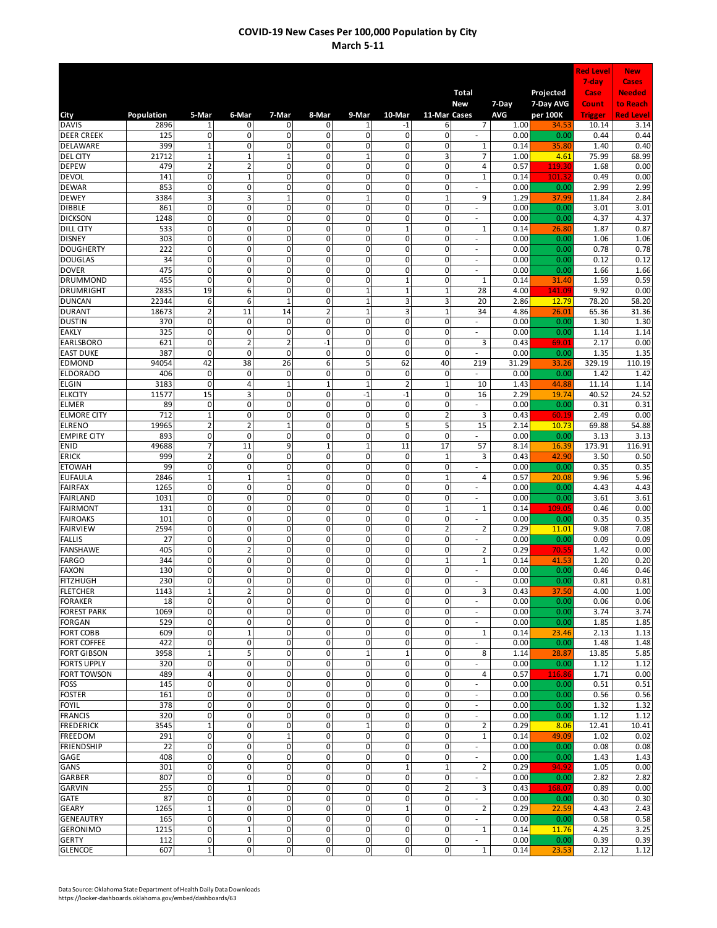|                                        |                |                                |                                         |                                  |                            |                                  |                               |                     |                                    |               |                        | <b>Red Level</b> | <b>New</b>                |
|----------------------------------------|----------------|--------------------------------|-----------------------------------------|----------------------------------|----------------------------|----------------------------------|-------------------------------|---------------------|------------------------------------|---------------|------------------------|------------------|---------------------------|
|                                        |                |                                |                                         |                                  |                            |                                  |                               |                     |                                    |               |                        | 7-day            | <b>Cases</b>              |
|                                        |                |                                |                                         |                                  |                            |                                  |                               |                     | Total<br>New                       | 7-Day         | Projected<br>7-Day AVG | Case<br>Count    | <b>Needed</b><br>to Reach |
| City                                   | Population     | 5-Mar                          | 6-Mar                                   | 7-Mar                            | 8-Mar                      | 9-Mar                            | 10-Mar                        | 11-Mar Cases        |                                    | AVG           | per 100K               | <b>Trigger</b>   | <b>Red Level</b>          |
| <b>DAVIS</b>                           | 2896           | 1                              | 0                                       | 0                                | 0                          | 1                                | -1                            | 6                   | 7                                  | 1.00          | 34.5                   | 10.14            | 3.14                      |
| <b>DEER CREEK</b><br>DELAWARE          | 125<br>399     | 0<br>$\mathbf{1}$              | 0<br>$\overline{0}$                     | $\mathbf 0$<br>0                 | 0<br>0                     | 0<br>0                           | $\mathbf 0$<br>0              | $\mathbf 0$<br>0    | $\mathbf{1}$                       | 0.00<br>0.14  | 0.00<br>35.80          | 0.44<br>1.40     | 0.44<br>0.40              |
| <b>DEL CITY</b>                        | 21712          | $\mathbf 1$                    | $\mathbf{1}$                            | $\overline{1}$                   | 0                          | $\mathbf{1}$                     | $\mathbf 0$                   | 3                   | $\overline{7}$                     | 1.00          | 4.61                   | 75.99            | 68.99                     |
| <b>DEPEW</b>                           | 479            | $\overline{2}$                 | $\overline{\mathbf{c}}$                 | $\mathbf 0$                      | 0                          | 0                                | 0                             | 0                   | 4                                  | 0.57          | 119.30                 | 1.68             | 0.00                      |
| <b>DEVOL</b>                           | 141            | $\overline{0}$                 | $\overline{1}$                          | $\overline{0}$                   | 0                          | 0                                | $\overline{0}$                | $\mathbf 0$         | $\mathbf{1}$                       | 0.14          | 101.3                  | 0.49             | 0.00                      |
| <b>DEWAR</b><br><b>DEWEY</b>           | 853<br>3384    | 0<br>3                         | 0<br>3                                  | $\mathbf 0$<br>$\overline{1}$    | 0<br>$\overline{0}$        | 0<br>$\overline{1}$              | $\mathbf 0$<br>$\overline{0}$ | 0<br>$\mathbf{1}$   | ä,<br>9                            | 0.00<br>1.29  | 0.00<br>37.99          | 2.99<br>11.84    | 2.99<br>2.84              |
| <b>DIBBLE</b>                          | 861            | 0                              | $\mathbf 0$                             | $\mathbf 0$                      | 0                          | 0                                | $\pmb{0}$                     | 0                   | ÷,                                 | 0.00          | 0.00                   | 3.01             | 3.01                      |
| <b>DICKSON</b>                         | 1248           | 0                              | $\Omega$                                | $\mathbf 0$                      | 0                          | 0                                | $\mathbf 0$                   | $\mathbf 0$         | ÷,                                 | 0.00          | 0.00                   | 4.37             | 4.37                      |
| <b>DILL CITY</b>                       | 533            | 0                              | $\overline{0}$                          | $\mathbf 0$                      | 0                          | 0                                | $\mathbf{1}$                  | $\mathbf 0$         | $\mathbf 1$                        | 0.14          | 26.80                  | 1.87             | 0.87                      |
| <b>DISNEY</b><br><b>DOUGHERTY</b>      | 303<br>222     | 0<br>0                         | $\mathbf 0$<br>$\mathbf 0$              | 0<br>0                           | 0<br>0                     | $\mathbf 0$<br>0                 | $\mathbf 0$<br>0              | $\mathbf 0$<br>0    | $\sim$                             | 0.00<br>0.00  | 0.00<br>0.00           | 1.06<br>0.78     | 1.06<br>0.78              |
| <b>DOUGLAS</b>                         | 34             | 0                              | $\mathbf 0$                             | $\mathbf 0$                      | 0                          | 0                                | $\mathbf 0$                   | 0                   | $\overline{\phantom{a}}$<br>$\sim$ | 0.00          | 0.00                   | 0.12             | 0.12                      |
| <b>DOVER</b>                           | 475            | 0                              | $\overline{\mathbf{0}}$                 | 0                                | $\mathbf 0$                | 0                                | 0                             | 0                   | $\overline{\phantom{a}}$           | 0.00          | 0.00                   | 1.66             | 1.66                      |
| <b>DRUMMOND</b>                        | 455            | $\mathbf 0$                    | $\mathbf 0$                             | $\mathbf 0$                      | 0                          | 0                                | $\mathbf 1$                   | 0                   | $\mathbf 1$                        | 0.14          | 31.40                  | 1.59             | 0.59                      |
| <b>DRUMRIGHT</b><br><b>DUNCAN</b>      | 2835           | 19                             | 6                                       | $\overline{0}$<br>$\mathbf{1}$   | 0<br>$\overline{0}$        | $\overline{1}$<br>$\overline{1}$ | $\mathbf{1}$                  | $\mathbf{1}$        | 28                                 | 4.00          | 141.09                 | 9.92             | 0.00                      |
| <b>DURANT</b>                          | 22344<br>18673 | 6<br>$\overline{2}$            | 6<br>11                                 | 14                               | $\overline{2}$             | $\overline{1}$                   | 3<br>3                        | 3<br>$\mathbf{1}$   | 20<br>34                           | 2.86<br>4.86  | 12.79<br>26.01         | 78.20<br>65.36   | 58.20<br>31.36            |
| <b>DUSTIN</b>                          | 370            | 0                              | 0                                       | $\mathbf 0$                      | 0                          | 0                                | 0                             | 0                   | ٠                                  | 0.00          | 0.00                   | 1.30             | 1.30                      |
| <b>EAKLY</b>                           | 325            | $\mathbf 0$                    | 0                                       | $\mathbf 0$                      | 0                          | 0                                | 0                             | 0                   |                                    | 0.00          | 0.00                   | 1.14             | 1.14                      |
| <b>EARLSBORO</b>                       | 621            | 0                              | $\overline{\mathbf{c}}$                 | $\overline{2}$                   | $-1$                       | 0                                | 0                             | 0                   | 3                                  | 0.43          | 69.01                  | 2.17             | 0.00                      |
| <b>EAST DUKE</b><br><b>EDMOND</b>      | 387<br>94054   | $\mathbf 0$<br>42              | $\mathbf 0$<br>38                       | $\mathbf 0$<br>26                | 0<br>6                     | 0<br>5                           | $\mathbf 0$<br>62             | $\mathbf 0$<br>40   | $\overline{\phantom{a}}$<br>219    | 0.00<br>31.29 | 0.00<br>33.26          | 1.35<br>329.19   | 1.35<br>110.19            |
| <b>ELDORADO</b>                        | 406            | 0                              | $\mathsf{o}$                            | $\mathbf 0$                      | 0                          | 0                                | $\mathbf 0$                   | 0                   | $\sim$                             | 0.00          | 0.00                   | 1.42             | 1.42                      |
| <b>ELGIN</b>                           | 3183           | 0                              | 4                                       | $\mathbf 1$                      | $\mathbf 1$                | $\overline{1}$                   | $\overline{2}$                | $\mathbf 1$         | 10                                 | 1.43          | 44.88                  | 11.14            | 1.14                      |
| <b>ELKCITY</b>                         | 11577          | 15                             | 3                                       | $\overline{0}$                   | $\overline{0}$             | $-1$                             | $-1$                          | $\mathbf 0$         | 16                                 | 2.29          | 19.74                  | 40.52            | 24.52                     |
| <b>ELMER</b>                           | 89             | 0                              | $\mathbf 0$                             | $\mathbf 0$                      | 0                          | 0                                | $\pmb{0}$                     | 0                   | ä,                                 | 0.00          | 0.00                   | 0.31             | 0.31                      |
| <b>ELMORE CITY</b><br><b>ELRENO</b>    | 712<br>19965   | $\mathbf{1}$<br>$\overline{2}$ | $\mathbf{0}$<br>$\overline{\mathbf{c}}$ | $\mathbf 0$<br>$\mathbf{1}$      | 0<br>0                     | 0<br>0                           | $\mathbf 0$<br>5              | $\mathbf 2$<br>5    | 3<br>15                            | 0.43<br>2.14  | 60.19<br>10.73         | 2.49<br>69.88    | 0.00<br>54.88             |
| <b>EMPIRE CITY</b>                     | 893            | 0                              | 0                                       | $\mathbf 0$                      | 0                          | 0                                | $\mathbf 0$                   | $\mathbf 0$         | ٠                                  | 0.00          | 0.00                   | 3.13             | 3.13                      |
| <b>ENID</b>                            | 49688          | 7                              | 11                                      | 9                                | $\mathbf 1$                | $\mathbf{1}$                     | 11                            | 17                  | 57                                 | 8.14          | 16.39                  | 173.91           | 116.91                    |
| <b>ERICK</b>                           | 999            | $\overline{2}$                 | $\mathbf 0$                             | $\mathbf 0$                      | 0                          | 0                                | $\mathbf 0$                   | $\mathbf 1$         | 3                                  | 0.43          | 42.90                  | 3.50             | 0.50                      |
| <b>ETOWAH</b><br><b>EUFAULA</b>        | 99<br>2846     | 0<br>$\mathbf 1$               | $\mathsf{o}$<br>$\mathbf{1}$            | $\mathbf 0$<br>$\mathbf{1}$      | $\mathbf 0$<br>0           | 0<br>0                           | 0<br>$\mathbf 0$              | 0<br>$\mathbf{1}$   | ٠<br>4                             | 0.00<br>0.57  | 0.00<br>20.08          | 0.35<br>9.96     | 0.35<br>5.96              |
| <b>FAIRFAX</b>                         | 1265           | 0                              | $\overline{0}$                          | $\mathbf 0$                      | 0                          | 0                                | $\overline{0}$                | $\mathbf 0$         | ÷,                                 | 0.00          | 0.00                   | 4.43             | 4.43                      |
| <b>FAIRLAND</b>                        | 1031           | 0                              | 0                                       | 0                                | 0                          | 0                                | $\overline{0}$                | $\mathbf 0$         | ä,                                 | 0.00          | 0.00                   | 3.61             | 3.61                      |
| <b>FAIRMONT</b>                        | 131            | 0                              | 0                                       | 0                                | 0                          | 0                                | $\mathbf 0$                   | $\mathbf{1}$        | $\mathbf{1}$                       | 0.14          | 109.05                 | 0.46             | 0.00                      |
| <b>FAIROAKS</b><br><b>FAIRVIEW</b>     | 101<br>2594    | 0<br>$\mathbf 0$               | 0<br>0                                  | 0<br>$\mathbf 0$                 | 0<br>0                     | 0<br>0                           | $\mathbf 0$<br>0              | 0<br>$\overline{2}$ | ÷,<br>$\overline{a}$               | 0.00<br>0.29  | 0.00<br>11.01          | 0.35<br>9.08     | 0.35<br>7.08              |
| <b>FALLIS</b>                          | 27             | 0                              | 0                                       | 0                                | 0                          | 0                                | 0                             | 0                   |                                    | 0.00          | 0.00                   | 0.09             | 0.09                      |
| <b>FANSHAWE</b>                        | 405            | 0                              | $\overline{2}$                          | $\mathbf 0$                      | 0                          | 0                                | $\pmb{0}$                     | 0                   | $\overline{2}$                     | 0.29          | 70.5                   | 1.42             | 0.00                      |
| <b>FARGO</b>                           | 344            | 0                              | $\mathbf 0$                             | 0                                | 0                          | 0                                | 0                             | $\mathbf 1$         | $\mathbf{1}$                       | 0.14          | 41.53                  | 1.20             | 0.20                      |
| <b>FAXON</b><br><b>FITZHUGH</b>        | 130<br>230     | 0<br>$\overline{0}$            | $\overline{0}$<br>$\overline{0}$        | $\overline{0}$<br>$\overline{0}$ | 0<br>O                     | 0<br>0                           | $\mathbf 0$<br>$\overline{0}$ | 0<br>$\mathbf{0}$   | $\sim$<br>J.                       | 0.00<br>0.00  | 0.00<br>0.00           | 0.46<br>0.81     | 0.46<br>0.81              |
| <b>FLETCHER</b>                        | 1143           | $\mathbf 1$                    | $\overline{2}$                          | 0                                | $\pmb{0}$                  | $\mathbf 0$                      | $\mathbf 0$                   | 0                   | 3                                  | 0.43          | 37.50                  | 4.00             | 1.00                      |
| <b>FORAKER</b>                         | 18             | 0                              | $\mathbf{0}$                            | $\mathbf 0$                      | $\mathbf 0$                | $\mathbf 0$                      | $\pmb{0}$                     | $\mathbf 0$         | ÷                                  | 0.00          | 0.00                   | 0.06             | 0.06                      |
| <b>FOREST PARK</b>                     | 1069           | $\mathbf 0$                    | $\Omega$                                | 0                                | $\mathbf 0$                | 0                                | $\mathbf{0}$                  | $\mathbf{0}$        | $\overline{\phantom{a}}$           | 0.00          | 0.00                   | 3.74             | 3.74                      |
| <b>FORGAN</b>                          | 529            | $\pmb{0}$                      | $\mathbf 0$                             | $\mathbf 0$                      | 0                          | 0                                | 0                             | $\mathbf 0$         | $\sim$                             | 0.00          | 0.00                   | 1.85             | 1.85                      |
| <b>FORT COBB</b><br><b>FORT COFFEE</b> | 609<br>422     | $\mathbf 0$<br>0               | $\mathbf{1}$<br>$\overline{0}$          | 0<br>$\mathbf 0$                 | 0<br>0                     | 0<br>0                           | $\mathbf 0$<br>0              | 0<br>0              | 1<br>$\blacksquare$                | 0.14<br>0.00  | 23.46<br>0.00          | 2.13<br>1.48     | 1.13<br>1.48              |
| <b>FORT GIBSON</b>                     | 3958           | $\mathbf 1$                    | 5                                       | 0                                | $\overline{0}$             | $\mathbf 1$                      | $\mathbf 1$                   | 0                   | 8                                  | 1.14          | 28.87                  | 13.85            | 5.85                      |
| <b>FORTS UPPLY</b>                     | 320            | $\mathbf 0$                    | $\overline{0}$                          | $\mathbf 0$                      | $\mathbf{0}$               | $\mathbf 0$                      | $\pmb{0}$                     | 0                   | $\sim$                             | 0.00          | 0.00                   | 1.12             | 1.12                      |
| <b>FORT TOWSON</b>                     | 489            | 4                              | $\mathbf{0}$                            | $\mathbf 0$                      | 0                          | 0                                | $\mathbf 0$                   | 0                   | $\overline{4}$                     | 0.57          | 116.86                 | 1.71             | 0.00                      |
| <b>FOSS</b><br><b>FOSTER</b>           | 145<br>161     | 0<br>0                         | $\overline{0}$<br>$\mathbf 0$           | $\mathbf 0$<br>$\mathbf 0$       | $\mathbf 0$<br>$\mathbf 0$ | 0<br>0                           | $\overline{0}$<br>$\mathbf 0$ | $\mathbf 0$<br>0    | $\sim$<br>$\overline{\phantom{a}}$ | 0.00<br>0.00  | 0.00<br>0.00           | 0.51<br>0.56     | 0.51<br>0.56              |
| <b>FOYIL</b>                           | 378            | 0                              | $\mathbf 0$                             | $\mathbf 0$                      | 0                          | 0                                | $\mathbf 0$                   | 0                   | $\overline{\phantom{a}}$           | 0.00          | 0.00                   | 1.32             | 1.32                      |
| <b>FRANCIS</b>                         | 320            | 0                              | $\mathbf{0}$                            | $\mathbf 0$                      | 0                          | 0                                | $\mathbf 0$                   | 0                   | $\overline{\phantom{a}}$           | 0.00          | 0.00                   | 1.12             | 1.12                      |
| <b>FREDERICK</b>                       | 3545           | $\mathbf 1$                    | $\overline{0}$                          | $\mathbf 0$                      | 0                          | $\overline{1}$                   | $\mathbf 0$                   | 0                   | $\overline{2}$                     | 0.29          | 8.06                   | 12.41            | 10.41                     |
| <b>FREEDOM</b>                         | 291            | 0<br>$\mathsf 0$               | $\overline{0}$<br>$\mathbf{0}$          | $\mathbf 1$<br>$\mathbf 0$       | 0                          | 0                                | 0                             | 0                   | $\mathbf 1$                        | 0.14          | 49.09                  | 1.02             | 0.02                      |
| <b>FRIENDSHIP</b><br>GAGE              | 22<br>408      | 0                              | $\overline{0}$                          | 0                                | 0<br>$\mathbf 0$           | 0<br>0                           | $\pmb{0}$<br>$\pmb{0}$        | 0<br>0              | $\overline{\phantom{a}}$<br>÷      | 0.00<br>0.00  | 0.00<br>0.00           | 0.08<br>1.43     | 0.08<br>1.43              |
| GANS                                   | 301            | 0                              | $\mathbf 0$                             | $\mathbf 0$                      | $\mathbf 0$                | 0                                | $\mathbf 1$                   | $\mathbf{1}$        | $\overline{2}$                     | 0.29          | 94.92                  | 1.05             | 0.00                      |
| GARBER                                 | 807            | 0                              | $\overline{\mathbf{0}}$                 | $\pmb{0}$                        | 0                          | 0                                | $\overline{0}$                | 0                   | ÷                                  | 0.00          | 0.00                   | 2.82             | 2.82                      |
| <b>GARVIN</b>                          | 255            | $\overline{0}$                 | $\overline{1}$                          | $\overline{0}$                   | $\overline{0}$             | 0                                | $\overline{0}$                | $\overline{2}$      | 3                                  | 0.43          | 168.07                 | 0.89             | 0.00                      |
| <b>GATE</b><br><b>GEARY</b>            | 87<br>1265     | 0<br>$\mathbf 1$               | $\overline{0}$<br>$\Omega$              | 0<br>0                           | $\mathbf 0$<br>$\mathbf 0$ | 0<br>0                           | $\mathbf 0$<br>$\mathbf 1$    | 0<br>$\mathbf{0}$   | ٠<br>$\overline{2}$                | 0.00<br>0.29  | 0.00<br>22.59          | 0.30<br>4.43     | 0.30<br>2.43              |
| <b>GENEAUTRY</b>                       | 165            | $\pmb{0}$                      | $\mathbf 0$                             | $\mathbf 0$                      | 0                          | 0                                | 0                             | 0                   | ٠                                  | 0.00          | 0.00                   | 0.58             | 0.58                      |
| <b>GERONIMO</b>                        | 1215           | $\mathbf 0$                    | $\mathbf 1$                             | 0                                | 0                          | 0                                | 0                             | 0                   | 1                                  | 0.14          | 11.76                  | 4.25             | 3.25                      |
| <b>GERTY</b>                           | 112            | $\pmb{0}$                      | $\overline{0}$                          | 0                                | $\mathbf 0$                | $\mathbf 0$                      | $\mathbf 0$                   | $\mathbf 0$         | $\sim$                             | 0.00          | 0.00                   | 0.39             | 0.39                      |
| <b>GLENCOE</b>                         | 607            | $\mathbf 1$                    | $\Omega$                                | $\overline{\mathbf{0}}$          | $\mathbf 0$                | $\overline{0}$                   | $\mathbf{0}$                  | $\pmb{0}$           | $1\,$                              | 0.14          | 23.53                  | 2.12             | 1.12                      |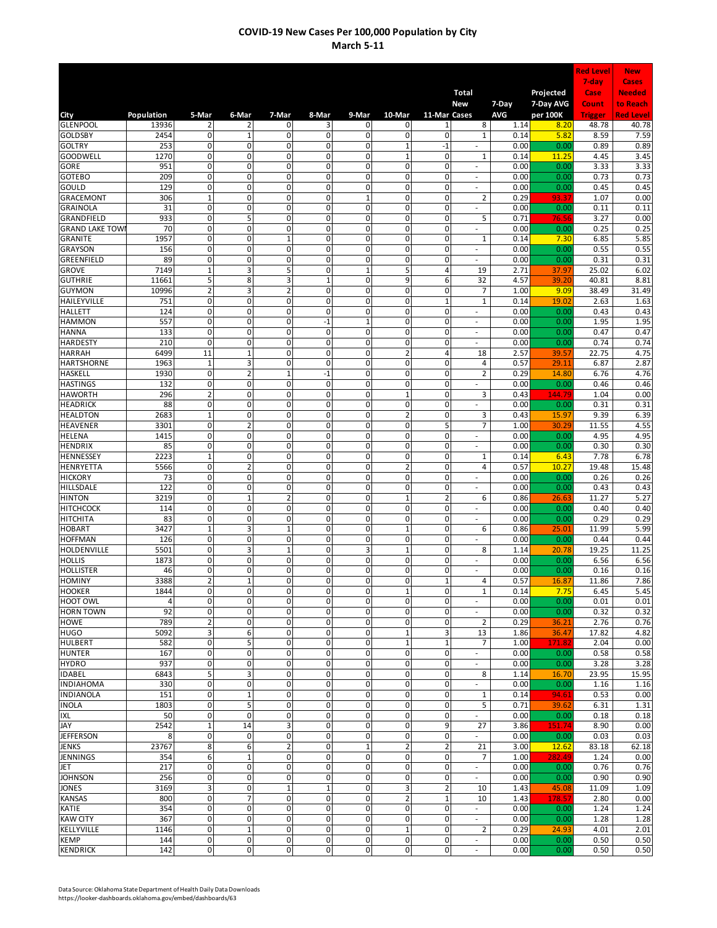|                                      |                      |                                        |                               |                               |                                  |                          |                            |                              |                                                      |              |                        | <b>Red Level</b> | <b>New</b>                |
|--------------------------------------|----------------------|----------------------------------------|-------------------------------|-------------------------------|----------------------------------|--------------------------|----------------------------|------------------------------|------------------------------------------------------|--------------|------------------------|------------------|---------------------------|
|                                      |                      |                                        |                               |                               |                                  |                          |                            |                              |                                                      |              |                        | 7-day            | <b>Cases</b>              |
|                                      |                      |                                        |                               |                               |                                  |                          |                            |                              | <b>Total</b><br>New                                  | 7-Day        | Projected<br>7-Day AVG | Case<br>Count    | <b>Needed</b><br>to Reach |
| City                                 | Population           | 5-Mar                                  | 6-Mar                         | 7-Mar                         | 8-Mar                            | 9-Mar                    | 10-Mar                     | 11-Mar Cases                 |                                                      | AVG          | per 100K               | <b>Trigger</b>   | <b>Red Level</b>          |
| <b>GLENPOOL</b>                      | 13936                | $\overline{2}$                         | 2                             | 0                             | 3                                | 0                        | 0                          | 1                            | 8                                                    | 1.14         | 8.2C                   | 48.78            | 40.78                     |
| <b>GOLDSBY</b><br><b>GOLTRY</b>      | 2454<br>253          | 0<br>$\mathbf 0$                       | $\mathbf 1$<br>$\mathsf{o}$   | 0<br>0                        | 0<br>0                           | 0<br>0                   | 0<br>$\mathbf{1}$          | $\mathbf 0$<br>$-1$          | $\mathbf 1$                                          | 0.14<br>0.00 | 5.82<br>0.00           | 8.59<br>0.89     | 7.59<br>0.89              |
| <b>GOODWELL</b>                      | 1270                 | $\mathsf{o}$                           | $\mathsf{o}$                  | 0                             | 0                                | 0                        | $\mathbf 1$                | $\mathbf 0$                  | 1                                                    | 0.14         | 11.25                  | 4.45             | 3.45                      |
| GORE                                 | 951                  | $\overline{0}$                         | $\overline{0}$                | 0                             | $\overline{0}$                   | $\overline{0}$           | $\overline{0}$             | $\mathbf 0$                  | $\sim$                                               | 0.00         | 0.00                   | 3.33             | 3.33                      |
| <b>GOTEBO</b>                        | 209                  | $\overline{0}$                         | $\overline{0}$                | $\overline{0}$                | 0                                | $\overline{0}$           | $\overline{0}$             | $\mathbf{0}$                 | ÷,                                                   | 0.00         | 0.00                   | 0.73             | 0.73                      |
| GOULD<br><b>GRACEMONT</b>            | 129<br>306           | 0<br>$\mathbf 1$                       | 0<br>$\mathsf{o}$             | 0<br>0                        | 0<br>0                           | $\pmb{0}$<br>$\mathbf 1$ | $\pmb{0}$<br>0             | $\mathbf{0}$<br>$\mathbf{0}$ | ÷.<br>2                                              | 0.00<br>0.29 | 0.00<br>93.3           | 0.45<br>1.07     | 0.45<br>0.00              |
| <b>GRAINOLA</b>                      | 31                   | $\mathbf 0$                            | 0                             | 0                             | 0                                | 0                        | 0                          | $\mathbf 0$                  | $\overline{\phantom{a}}$                             | 0.00         | 0.00                   | 0.11             | 0.11                      |
| GRANDFIELD                           | 933                  | 0                                      | 5                             | 0                             | 0                                | 0                        | 0                          | $\mathbf 0$                  | 5                                                    | 0.71         | 76.56                  | 3.27             | 0.00                      |
| <b>GRAND LAKE TOW</b>                | 70                   | 0                                      | 0                             | 0                             | 0                                | 0                        | 0                          | $\mathbf 0$                  | $\overline{\phantom{a}}$                             | 0.00         | 0.00                   | 0.25             | 0.25                      |
| <b>GRANITE</b><br><b>GRAYSON</b>     | 1957<br>156          | $\overline{0}$<br>$\overline{0}$       | 0<br>$\mathsf{o}$             | $\mathbf{1}$<br>0             | 0<br>$\overline{0}$              | $\mathbf 0$<br>0         | $\mathbf 0$<br>0           | $\mathbf{0}$<br>$\mathbf 0$  | $\mathbf 1$<br>$\sim$                                | 0.14<br>0.00 | 7.30<br>0.00           | 6.85<br>0.55     | 5.85<br>0.55              |
| GREENFIELD                           | 89                   | 0                                      | $\mathbf 0$                   | 0                             | 0                                | $\mathbf 0$              | 0                          | 0                            | $\sim$                                               | 0.00         | 0.00                   | 0.31             | 0.31                      |
| <b>GROVE</b>                         | 7149                 | $\overline{1}$                         | 3                             | 5                             | $\overline{0}$                   | $\mathbf 1$              | 5                          | 4                            | 19                                                   | 2.71         | 37.97                  | 25.02            | 6.02                      |
| <b>GUTHRIE</b>                       | 11661                | 5                                      | 8                             | 3                             | $\mathbf{1}$                     | 0                        | 9                          | 6                            | 32                                                   | 4.57         | 39.20                  | 40.81            | 8.81                      |
| <b>GUYMON</b><br>HAILEYVILLE         | 10996<br>751         | $\overline{2}$<br>0                    | 3<br>0                        | $\overline{2}$<br>0           | 0<br>0                           | 0<br>0                   | 0<br>0                     | 0<br>1                       | 7<br>$\overline{1}$                                  | 1.00<br>0.14 | 9.09<br>19.02          | 38.49<br>2.63    | 31.49<br>1.63             |
| <b>HALLETT</b>                       | 124                  | 0                                      | 0                             | $\mathbf 0$                   | 0                                | 0                        | 0                          | 0                            |                                                      | 0.00         | 0.00                   | 0.43             | 0.43                      |
| <b>HAMMON</b>                        | 557                  | 0                                      | 0                             | 0                             | $-1$                             | $\mathbf 1$              | 0                          | 0                            | ÷,                                                   | 0.00         | 0.00                   | 1.95             | 1.95                      |
| <b>HANNA</b>                         | 133                  | $\mathsf 0$                            | $\overline{0}$                | 0                             | 0                                | $\mathbf 0$              | $\mathbf 0$                | $\mathbf 0$                  | ÷,                                                   | 0.00         | 0.00                   | 0.47             | 0.47                      |
| <b>HARDESTY</b><br><b>HARRAH</b>     | 210<br>6499          | 0<br>11                                | $\mathsf{o}$<br>$\mathbf{1}$  | 0<br>0                        | 0<br>$\mathbf 0$                 | 0<br>$\pmb{0}$           | 0<br>$\overline{2}$        | 0<br>4                       | ä,<br>18                                             | 0.00<br>2.57 | 0.00<br>39.57          | 0.74<br>22.75    | 0.74<br>4.75              |
| <b>HARTSHORNE</b>                    | 1963                 | $\mathbf 1$                            | 3                             | 0                             | Ō                                | $\overline{0}$           | $\overline{0}$             | 0                            | 4                                                    | 0.57         | 29.11                  | 6.87             | 2.87                      |
| <b>HASKELL</b>                       | 1930                 | $\overline{0}$                         | $\overline{\mathbf{2}}$       | $\overline{1}$                | $-1$                             | $\overline{0}$           | $\overline{0}$             | 0                            | 2                                                    | 0.29         | 14.80                  | 6.76             | 4.76                      |
| <b>HASTINGS</b>                      | 132                  | 0                                      | 0                             | 0                             | 0                                | $\pmb{0}$                | $\pmb{0}$                  | $\mathbf 0$                  | ä,                                                   | 0.00         | 0.00                   | 0.46             | 0.46                      |
| <b>HAWORTH</b>                       | 296                  | $\overline{2}$                         | $\overline{\mathbf{0}}$       | 0                             | 0                                | $\mathbf 0$              | $\mathbf 1$                | $\mathbf{0}$                 | 3                                                    | 0.43         | 144.79<br>0.00         | 1.04             | 0.00                      |
| <b>HEADRICK</b><br><b>HEALDTON</b>   | 88<br>2683           | 0<br>$\mathbf 1$                       | 0<br>$\mathbf 0$              | 0<br>0                        | 0<br>0                           | 0<br>0                   | 0<br>$\overline{2}$        | $\mathbf 0$<br>$\mathbf 0$   | $\overline{\phantom{a}}$<br>3                        | 0.00<br>0.43 | 15.97                  | 0.31<br>9.39     | 0.31<br>6.39              |
| <b>HEAVENER</b>                      | 3301                 | $\pmb{0}$                              | $\overline{\mathbf{c}}$       | 0                             | 0                                | $\pmb{0}$                | 0                          | 5                            | $\overline{7}$                                       | 1.00         | 30.29                  | 11.55            | 4.55                      |
| <b>HELENA</b>                        | 1415                 | 0                                      | $\mathbf 0$                   | $\mathbf 0$                   | 0                                | 0                        | $\mathbf 0$                | $\mathbf 0$                  | $\overline{\phantom{a}}$                             | 0.00         | 0.00                   | 4.95             | 4.95                      |
| <b>HENDRIX</b>                       | 85                   | 0                                      | $\mathsf{o}$<br>$\mathbf 0$   | $\mathbf 0$<br>$\mathbf 0$    | 0<br>0                           | 0<br>$\mathbf 0$         | 0                          | $\mathbf 0$                  | $\sim$                                               | 0.00         | 0.00                   | 0.30             | 0.30                      |
| <b>HENNESSEY</b><br><b>HENRYETTA</b> | 2223<br>5566         | $\mathbf{1}$<br>$\overline{0}$         | $\overline{\mathbf{2}}$       | $\overline{0}$                | $\overline{0}$                   | $\overline{0}$           | 0<br>$\overline{2}$        | 0<br>0                       | $\mathbf 1$<br>4                                     | 0.14<br>0.57 | 6.43<br>10.27          | 7.78<br>19.48    | 6.78<br>15.48             |
| <b>HICKORY</b>                       | 73                   | $\mathbf 0$                            | 0                             | 0                             | 0                                | 0                        | 0                          | 0                            | ä,                                                   | 0.00         | 0.00                   | 0.26             | 0.26                      |
| HILLSDALE                            | 122                  | 0                                      | 0                             | 0                             | 0                                | 0                        | 0                          | 0                            |                                                      | 0.00         | 0.00                   | 0.43             | 0.43                      |
| <b>HINTON</b><br><b>HITCHCOCK</b>    | 3219<br>114          | 0<br>0                                 | $\mathbf 1$<br>0              | $\overline{2}$<br>$\mathbf 0$ | 0<br>0                           | 0<br>0                   | $\mathbf{1}$<br>0          | $\overline{a}$<br>0          | 6<br>÷,                                              | 0.86<br>0.00 | 26.63<br>0.00          | 11.27<br>0.40    | 5.27<br>0.40              |
| <b>HITCHITA</b>                      | 83                   | 0                                      | 0                             | 0                             | 0                                | 0                        | 0                          | 0                            | ä,                                                   | 0.00         | 0.00                   | 0.29             | 0.29                      |
| <b>HOBART</b>                        | 3427                 | $\mathbf 1$                            | $\overline{3}$                | $\mathbf{1}$                  | 0                                | 0                        | $\mathbf 1$                | 0                            | 6                                                    | 0.86         | 25.01                  | 11.99            | 5.99                      |
| <b>HOFFMAN</b>                       | 126                  | $\mathbf 0$                            | $\mathsf{o}$                  | 0                             | 0                                | 0                        | 0                          | 0                            | ÷.                                                   | 0.00         | 0.00                   | 0.44             | 0.44                      |
| HOLDENVILLE<br><b>HOLLIS</b>         | 5501<br>1873         | 0<br>$\overline{0}$                    | 3<br>$\overline{0}$           | $\mathbf{1}$<br>0             | 0<br>Ō                           | 3<br>$\overline{0}$      | $\mathbf 1$<br>0           | 0<br>0                       | 8<br>ä,                                              | 1.14<br>0.00 | 20.78<br>0.00          | 19.25<br>6.56    | 11.25<br>6.56             |
| <b>HOLLISTER</b>                     | 46                   | $\overline{0}$                         | $\overline{0}$                | 0                             | 0                                | $\overline{0}$           | 0                          | 0                            | ÷.                                                   | 0.00         | 0.00                   | 0.16             | 0.16                      |
| <b>HOMINY</b>                        | 3388                 | $\overline{2}$                         | $\mathbf 1$                   | $\mathbf 0$                   | $\overline{0}$                   | $\mathbf{0}$             | $\mathbf{0}$               | $\mathbf{1}$                 | 4                                                    | 0.57         | 16.87                  | 11.86            | 7.86                      |
| <b>HOOKER</b>                        | 1844                 | 0                                      | $\overline{0}$                | 0                             | $\overline{0}$                   | $\mathbf 0$              | $\mathbf{1}$               | $\mathbf 0$                  | $\mathbf{1}$                                         | 0.14         | 7.75                   | 6.45             | 5.45                      |
| <b>HOOT OWL</b><br><b>HORN TOWN</b>  | $\overline{4}$<br>92 | $\mathbf 0$<br>$\mathbf 0$             | $\mathbf 0$<br>$\mathbf 0$    | 0<br>$\mathbf 0$              | $\mathbf 0$<br>0                 | 0<br>0                   | $\mathbf 0$<br>$\mathbf 0$ | $\mathbf 0$<br>$\mathbf 0$   | ä,<br>$\overline{\phantom{a}}$                       | 0.00<br>0.00 | 0.00<br>0.00           | 0.01<br>0.32     | 0.01<br>0.32              |
| <b>HOWE</b>                          | 789                  | $\overline{2}$                         | $\mathbf 0$                   | $\mathbf 0$                   | $\mathbf 0$                      | $\pmb{0}$                | $\pmb{0}$                  | $\mathbf 0$                  | $\overline{2}$                                       | 0.29         | 36.21                  | 2.76             | 0.76                      |
| <b>HUGO</b>                          | 5092                 | 3                                      | $\overline{6}$                | $\mathbf{0}$                  | O                                | $\mathbf 0$              | $\mathbf 1$                | $\overline{\mathbf{3}}$      | 13                                                   | 1.86         | 36.47                  | 17.82            | 4.82                      |
| <b>HULBERT</b>                       | 582                  | $\mathbf 0$                            | 5                             | $\mathbf{0}$                  | $\overline{0}$                   | $\mathbf 0$              | $\mathbf 1$                | $\mathbf 1$                  | 7                                                    | 1.00         | 171.82                 | 2.04             | 0.00                      |
| <b>HUNTER</b><br><b>HYDRO</b>        | 167<br>937           | 0<br>$\overline{0}$                    | 0<br>0                        | 0<br>$\overline{0}$           | $\overline{0}$<br>$\overline{0}$ | 0<br>$\overline{0}$      | $\mathbf 0$<br>$\mathbf 0$ | $\mathbf 0$<br>$\mathbf 0$   | $\sim$<br>٠                                          | 0.00<br>0.00 | 0.00<br>0.00           | 0.58<br>3.28     | 0.58<br>3.28              |
| <b>IDABEL</b>                        | 6843                 | 5                                      | 3                             | 0                             | 0                                | $\mathbf 0$              | $\mathbf{0}$               | $\mathbf{0}$                 | 8                                                    | 1.14         | 16.70                  | 23.95            | 15.95                     |
| <b>INDIAHOMA</b>                     | 330                  | 0                                      | $\mathbf 0$                   | 0                             | 0                                | $\pmb{0}$                | 0                          | 0                            |                                                      | 0.00         | 0.00                   | 1.16             | 1.16                      |
| <b>INDIANOLA</b>                     | 151                  | 0                                      | $\mathbf 1$                   | 0                             | 0                                | 0                        | 0                          | $\mathbf 0$                  | $\mathbf 1$                                          | 0.14         | 94.61                  | 0.53             | 0.00                      |
| <b>INOLA</b>                         | 1803                 | 0                                      | 5                             | 0                             | 0                                | 0                        | $\mathbf 0$                | 0                            | 5                                                    | 0.71         | 39.62                  | 6.31             | 1.31                      |
| <b>IXL</b><br>JAY                    | 50<br>2542           | $\mathbf 0$<br>$\overline{\mathbf{1}}$ | $\mathbf 0$<br>14             | 0<br>3                        | 0<br>$\mathbf 0$                 | 0<br>$\mathbf 0$         | $\mathbf 0$<br>$\mathbf 0$ | $\mathbf 0$<br>9             | 27                                                   | 0.00<br>3.86 | 0.00<br>151.74         | 0.18<br>8.90     | 0.18<br>0.00              |
| <b>JEFFERSON</b>                     | 8                    | $\mathbf 0$                            | $\pmb{0}$                     | $\mathbf 0$                   | O                                | $\pmb{0}$                | $\mathbf 0$                | $\mathbf 0$                  | ÷.                                                   | 0.00         | 0.00                   | 0.03             | 0.03                      |
| <b>JENKS</b>                         | 23767                | 8                                      | $\overline{6}$                | $\overline{c}$                | 0                                | $\mathbf 1$              | $\mathbf 2$                | $\overline{2}$               | 21                                                   | 3.00         | 12.62                  | 83.18            | 62.18                     |
| <b>JENNINGS</b>                      | 354                  | 6                                      | $\mathbf 1$                   | 0                             | $\overline{0}$                   | $\pmb{0}$                | $\pmb{0}$                  | $\mathbf 0$                  | 7                                                    | 1.00         | 282.49                 | 1.24             | 0.00                      |
| <b>JET</b><br><b>JOHNSON</b>         | 217<br>256           | 0<br>$\pmb{0}$                         | $\mathbf 0$<br>$\overline{0}$ | $\mathbf 0$<br>0              | $\mathbf 0$<br>$\overline{0}$    | $\pmb{0}$<br>$\pmb{0}$   | $\pmb{0}$<br>$\mathbf 0$   | $\mathbf 0$<br>$\mathbf 0$   | $\overline{\phantom{a}}$<br>$\overline{\phantom{a}}$ | 0.00<br>0.00 | 0.00<br>0.00           | 0.76<br>0.90     | 0.76<br>0.90              |
| <b>JONES</b>                         | 3169                 | $\mathbf{3}$                           | $\overline{\mathbf{0}}$       | $\mathbf{1}$                  | $\mathbf 1$                      | $\overline{\mathbf{0}}$  | 3                          | $\mathbf 2$                  | 10                                                   | 1.43         | 45.08                  | 11.09            | 1.09                      |
| <b>KANSAS</b>                        | 800                  | $\pmb{0}$                              | 7                             | 0                             | 0                                | 0                        | $\overline{2}$             | 1                            | 10                                                   | 1.43         | 178.57                 | 2.80             | 0.00                      |
| KATIE                                | 354                  | $\pmb{0}$                              | $\mathbf 0$                   | $\mathbf 0$                   | $\mathbf 0$                      | 0                        | $\mathbf 0$                | $\mathbf 0$                  | $\sim$                                               | 0.00         | 0.00                   | 1.24             | 1.24                      |
| <b>KAW CITY</b><br>KELLYVILLE        | 367<br>1146          | $\pmb{0}$<br>$\mathbf 0$               | $\mathbf 0$<br>$\mathbf 1$    | $\mathbf 0$<br>$\mathbf 0$    | $\mathbf 0$<br>$\mathbf 0$       | 0<br>$\mathbf 0$         | $\mathbf 0$<br>$\mathbf 1$ | $\mathbf 0$<br>$\mathbf 0$   | $\blacksquare$<br>2                                  | 0.00<br>0.29 | 0.00<br>24.93          | 1.28<br>4.01     | 1.28<br>2.01              |
| <b>KEMP</b>                          | 144                  | $\mathsf{O}\xspace$                    | $\pmb{0}$                     | $\mathbf 0$                   | $\mathbf 0$                      | $\pmb{0}$                | $\pmb{0}$                  | $\mathbf 0$                  | $\sim$                                               | 0.00         | 0.00                   | 0.50             | 0.50                      |
| <b>KENDRICK</b>                      | 142                  | $\mathsf{o}$                           | $\overline{\mathbf{0}}$       | O                             | O                                | $\overline{\mathbf{0}}$  | $\overline{\mathbf{0}}$    | $\pmb{0}$                    | $\overline{\phantom{a}}$                             | 0.00         | 0.00                   | 0.50             | 0.50                      |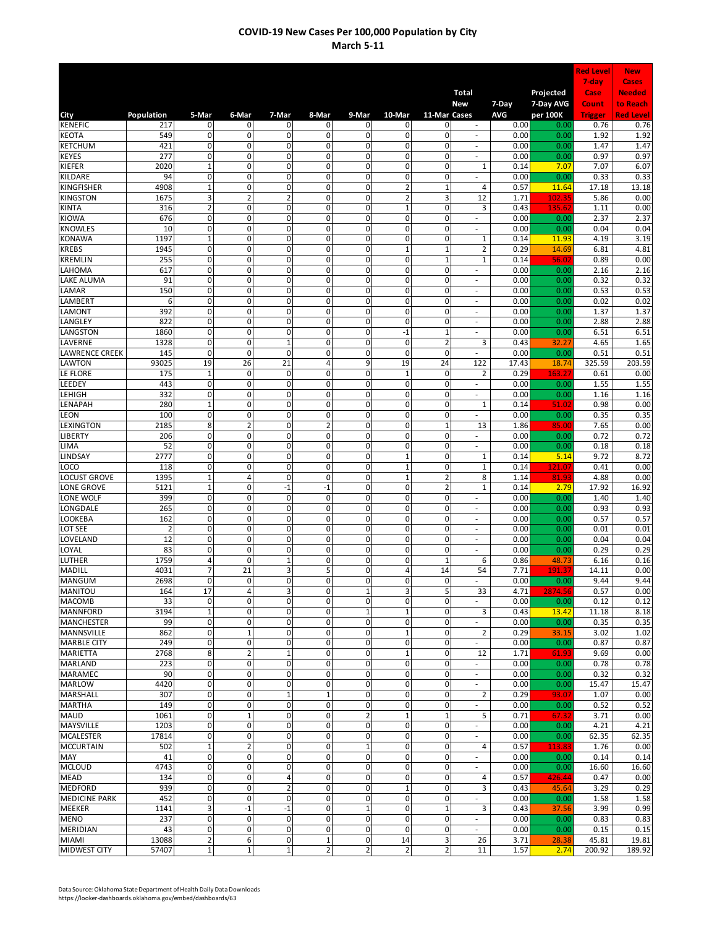|                                        |                |                            |                                           |                             |                             |                         |                               |                   |                                |              |                        | <b>Red Level</b> | <b>New</b>                |
|----------------------------------------|----------------|----------------------------|-------------------------------------------|-----------------------------|-----------------------------|-------------------------|-------------------------------|-------------------|--------------------------------|--------------|------------------------|------------------|---------------------------|
|                                        |                |                            |                                           |                             |                             |                         |                               |                   |                                |              |                        | $7$ -day         | <b>Cases</b>              |
|                                        |                |                            |                                           |                             |                             |                         |                               |                   | <b>Total</b><br>New            | 7-Day        | Projected<br>7-Day AVG | Case<br>Count    | <b>Needed</b><br>to Reach |
| City                                   | Population     | 5-Mar                      | 6-Mar                                     | 7-Mar                       | 8-Mar                       | 9-Mar                   | 10-Mar                        | 11-Mar Cases      |                                | AVG          | per 100K               | <b>Trigger</b>   | <b>Red Level</b>          |
| <b>KENEFIC</b>                         | 217            | 0                          | $\mathbf 0$                               | 0                           | 0                           | 0                       | 0                             | 0                 |                                | 0.00         | 0.00                   | 0.76             | 0.76                      |
| <b>KEOTA</b>                           | 549            | 0                          | $\mathbf 0$                               | $\mathbf 0$                 | 0                           | 0                       | $\pmb{0}$                     | 0                 | $\overline{\phantom{a}}$       | 0.00         | 0.00                   | 1.92             | 1.92                      |
| <b>KETCHUM</b><br><b>KEYES</b>         | 421<br>277     | 0<br>0                     | $\overline{0}$<br>$\overline{\mathbf{0}}$ | 0<br>$\overline{0}$         | 0<br>0                      | 0<br>0                  | 0<br>0                        | 0<br>0            | ÷,<br>÷                        | 0.00<br>0.00 | 0.00<br>0.00           | 1.47<br>0.97     | 1.47<br>0.97              |
| KIEFER                                 | 2020           | $\mathbf{1}$               | $\mathsf{o}$                              | $\overline{0}$              | 0                           | 0                       | $\overline{0}$                | 0                 | 1                              | 0.14         | 7.07                   | 7.07             | 6.07                      |
| KILDARE                                | 94             | $\overline{0}$             | $\overline{0}$                            | $\overline{0}$              | $\overline{0}$              | Ō                       | $\overline{0}$                | 0                 | ÷                              | 0.00         | 0.00                   | 0.33             | 0.33                      |
| KINGFISHER                             | 4908           | $\mathbf{1}$               | $\mathbf 0$                               | $\mathbf 0$                 | 0                           | 0                       | 2                             | $\mathbf 1$       | 4                              | 0.57         | 11.64                  | 17.18            | 13.18                     |
| <b>KINGSTON</b>                        | 1675           | 3                          | $\overline{2}$                            | $\overline{2}$              | 0                           | 0<br>0                  | 2                             | 3                 | 12                             | 1.71         | 102.35<br>135.6        | 5.86             | 0.00                      |
| <b>KINTA</b><br><b>KIOWA</b>           | 316<br>676     | $\overline{2}$<br>0        | 0<br>$\mathbf 0$                          | $\mathbf 0$<br>$\mathbf 0$  | 0<br>0                      | 0                       | $\mathbf 1$<br>0              | 0<br>$\mathbf 0$  | 3<br>$\overline{\phantom{a}}$  | 0.43<br>0.00 | 0.00                   | 1.11<br>2.37     | 0.00<br>2.37              |
| <b>KNOWLES</b>                         | 10             | 0                          | $\mathbf 0$                               | $\mathbf 0$                 | 0                           | 0                       | $\mathbf 0$                   | 0                 | ÷,                             | 0.00         | 0.00                   | 0.04             | 0.04                      |
| <b>KONAWA</b>                          | 1197           | $\mathbf{1}$               | $\overline{\mathbf{0}}$                   | $\mathbf 0$                 | 0                           | 0                       | $\mathbf 0$                   | 0                 | $\mathbf 1$                    | 0.14         | 11.93                  | 4.19             | 3.19                      |
| <b>KREBS</b>                           | 1945           | 0                          | $\overline{\mathbf{0}}$                   | 0                           | $\mathbf 0$                 | 0                       | $\mathbf 1$                   | $\mathbf 1$       | $\overline{2}$                 | 0.29         | 14.69                  | 6.81             | 4.81                      |
| <b>KREMLIN</b><br>LAHOMA               | 255<br>617     | 0<br>0                     | $\mathbf 0$<br>$\overline{0}$             | $\mathbf 0$<br>$\mathbf 0$  | 0<br>$\overline{0}$         | 0<br>0                  | $\mathbf 0$<br>$\overline{0}$ | $\mathbf{1}$<br>0 | $\mathbf 1$<br>÷,              | 0.14<br>0.00 | 56.02<br>0.00          | 0.89<br>2.16     | 0.00<br>2.16              |
| <b>LAKE ALUMA</b>                      | 91             | $\mathbf 0$                | 0                                         | $\mathbf 0$                 | 0                           | 0                       | $\mathbf 0$                   | 0                 | ÷,                             | 0.00         | 0.00                   | 0.32             | 0.32                      |
| LAMAR                                  | 150            | 0                          | 0                                         | 0                           | 0                           | 0                       | 0                             | 0                 | ÷,                             | 0.00         | 0.00                   | 0.53             | 0.53                      |
| LAMBERT                                | 6              | $\mathbf 0$                | 0                                         | 0                           | 0                           | 0                       | 0                             | 0                 | ×,                             | 0.00         | 0.00                   | 0.02             | 0.02                      |
| <b>LAMONT</b>                          | 392            | $\mathbf 0$                | $\mathbf 0$                               | $\mathbf 0$                 | 0                           | 0                       | 0                             | 0                 | ÷                              | 0.00         | 0.00                   | 1.37             | 1.37                      |
| LANGLEY<br><b>LANGSTON</b>             | 822<br>1860    | 0<br>0                     | $\mathbf 0$<br>$\overline{\mathbf{0}}$    | $\mathbf 0$<br>$\mathbf 0$  | 0<br>0                      | 0<br>$\mathbf 0$        | $\mathbf 0$<br>$-1$           | 0<br>$\mathbf 1$  | ÷,<br>÷,                       | 0.00<br>0.00 | 0.00<br>0.00           | 2.88<br>6.51     | 2.88<br>6.51              |
| LAVERNE                                | 1328           | 0                          | $\mathbf 0$                               | $\mathbf{1}$                | 0                           | 0                       | $\overline{0}$                | $\overline{2}$    | 3                              | 0.43         | 32.27                  | 4.65             | 1.65                      |
| <b>LAWRENCE CREEK</b>                  | 145            | 0                          | 0                                         | $\mathbf 0$                 | 0                           | 0                       | $\mathbf 0$                   | 0                 | $\sim$                         | 0.00         | 0.00                   | 0.51             | 0.51                      |
| <b>LAWTON</b>                          | 93025          | 19                         | 26                                        | 21                          | 4                           | 9                       | 19                            | 24                | 122                            | 17.43        | 18.74                  | 325.59           | 203.59                    |
| LE FLORE                               | 175            | $\mathbf{1}$               | $\overline{0}$                            | $\overline{0}$              | $\overline{0}$              | 0                       | $\mathbf{1}$                  | 0                 | $\overline{2}$                 | 0.29         | 163.2                  | 0.61             | 0.00                      |
| LEEDEY<br>LEHIGH                       | 443<br>332     | 0<br>0                     | 0<br>$\mathbf{0}$                         | $\mathbf 0$<br>$\mathbf 0$  | 0<br>0                      | 0<br>0                  | $\pmb{0}$<br>$\mathbf 0$      | 0<br>$\mathbf 0$  | J.<br>$\overline{\phantom{a}}$ | 0.00<br>0.00 | 0.00<br>0.00           | 1.55<br>1.16     | 1.55<br>1.16              |
| LENAPAH                                | 280            | $\mathbf{1}$               | $\mathbf 0$                               | $\mathbf 0$                 | 0                           | 0                       | $\mathbf 0$                   | 0                 | $\mathbf 1$                    | 0.14         | 51.02                  | 0.98             | 0.00                      |
| LEON                                   | 100            | 0                          | $\mathbf 0$                               | $\mathbf 0$                 | 0                           | 0                       | $\mathbf 0$                   | 0                 | $\overline{\phantom{a}}$       | 0.00         | 0.00                   | 0.35             | 0.35                      |
| LEXINGTON                              | 2185           | 8                          | $\overline{2}$                            | $\mathbf 0$                 | $\overline{2}$              | 0                       | $\mathbf 0$                   | $\mathbf 1$       | 13                             | 1.86         | 85.00                  | 7.65             | 0.00                      |
| <b>LIBERTY</b>                         | 206            | 0                          | $\mathsf{o}$                              | 0                           | 0                           | 0                       | $\overline{0}$                | 0                 | $\overline{\phantom{a}}$       | 0.00         | 0.00                   | 0.72             | 0.72                      |
| <b>LIMA</b><br>LINDSAY                 | 52<br>2777     | 0<br>0                     | $\overline{0}$<br>$\mathbf 0$             | 0<br>$\mathbf 0$            | $\mathbf 0$<br>0            | 0<br>0                  | 0<br>$\mathbf 1$              | 0<br>0            | ٠<br>$\mathbf 1$               | 0.00<br>0.14 | 0.00<br>5.14           | 0.18<br>9.72     | 0.18<br>8.72              |
| LOCO                                   | 118            | 0                          | $\overline{0}$                            | 0                           | $\overline{0}$              | 0                       | $\mathbf{1}$                  | 0                 | $\mathbf 1$                    | 0.14         | 121.07                 | 0.41             | 0.00                      |
| <b>LOCUST GROVE</b>                    | 1395           | $\mathbf{1}$               | 4                                         | $\mathbf 0$                 | 0                           | 0                       | $\mathbf{1}$                  | $\mathbf 2$       | 8                              | 1.14         | 81.93                  | 4.88             | 0.00                      |
| <b>LONE GROVE</b>                      | 5121           | $\mathbf{1}$               | 0                                         | $-1$                        | $-1$                        | 0                       | $\mathbf 0$                   | $\overline{2}$    | $\overline{1}$                 | 0.14         | 2.79                   | 17.92            | 16.92                     |
| LONE WOLF<br>LONGDALE                  | 399<br>265     | $\mathbf 0$<br>0           | 0<br>$\mathbf{0}$                         | $\mathbf 0$<br>0            | 0<br>0                      | 0<br>0                  | 0<br>$\mathbf 0$              | 0<br>0            |                                | 0.00<br>0.00 | 0.00<br>0.00           | 1.40<br>0.93     | 1.40<br>0.93              |
| LOOKEBA                                | 162            | 0                          | $\mathbf 0$                               | 0                           | 0                           | 0                       | 0                             | 0                 | ÷,                             | 0.00         | 0.00                   | 0.57             | 0.57                      |
| LOT SEE                                | $\overline{2}$ | $\mathbf 0$                | $\mathbf 0$                               | $\mathbf 0$                 | 0                           | $\mathbf 0$             | $\mathbf 0$                   | $\mathbf 0$       | $\overline{\phantom{a}}$       | 0.00         | 0.00                   | 0.01             | 0.01                      |
| <b>LOVELAND</b>                        | 12             | 0                          | $\overline{\mathbf{0}}$                   | 0                           | 0                           | 0                       | 0                             | 0                 | ÷,                             | 0.00         | 0.00                   | 0.04             | 0.04                      |
| LOYAL                                  | 83             | 0                          | 0                                         | $\mathbf 0$                 | 0                           | 0                       | $\mathbf 0$                   | 0                 | ÷,                             | 0.00         | 0.00                   | 0.29             | 0.29                      |
| <b>LUTHER</b><br><b>MADILL</b>         | 1759<br>4031   | 4<br>$\overline{7}$        | 0<br>21                                   | $\overline{1}$<br>3         | 0<br>5                      | 0<br>0                  | $\overline{0}$<br>4           | 1<br>14           | 6<br>54                        | 0.86<br>7.71 | 48.73<br>191.3         | 6.16<br>14.11    | 0.16<br>0.00              |
| <b>MANGUM</b>                          | 2698           | 0                          | $\Omega$                                  | $\mathbf 0$                 | $\mathbf 0$                 | $\overline{0}$          | $\mathbf{0}$                  | $\mathbf 0$       |                                | 0.00         | 0.00                   | 9.44             | 9.44                      |
| <b>MANITOU</b>                         | 164            | 17                         | $\overline{a}$                            | 3                           | $\overline{0}$              | 1                       | 3                             | 5                 | 33                             | 4.71         | 2874.56                | 0.57             | 0.00                      |
| <b>MACOMB</b>                          | 33             | $\mathbf 0$                | $\mathbf 0$                               | $\mathbf 0$                 | $\mathbf 0$                 | 0                       | $\mathbf 0$                   | $\mathbf 0$       | $\overline{\phantom{a}}$       | 0.00         | 0.00                   | 0.12             | 0.12                      |
| <b>MANNFORD</b>                        | 3194           | $\mathbf 1$                | $\mathbf 0$                               | 0                           | $\mathbf 0$                 | $\mathbf 1$             | $\mathbf 1$                   | 0                 | 3                              | 0.43         | 13.42                  | 11.18            | 8.18                      |
| <b>MANCHESTER</b><br><b>MANNSVILLE</b> | 99<br>862      | $\mathbf 0$<br>$\mathbf 0$ | $\mathbf{0}$<br>$\mathbf{1}$              | $\mathbf 0$<br>$\mathbf 0$  | $\mathbf 0$<br>$\mathbf{0}$ | 0<br>$\mathbf 0$        | $\pmb{0}$<br>$\overline{1}$   | $\mathbf 0$<br>0  | $\sim$<br>$\overline{2}$       | 0.00<br>0.29 | 0.00<br>33.15          | 0.35<br>3.02     | 0.35<br>1.02              |
| <b>MARBLE CITY</b>                     | 249            | $\mathbf 0$                | $\overline{0}$                            | $\mathbf 0$                 | $\mathbf{0}$                | $\mathbf 0$             | $\pmb{0}$                     | 0                 | $\sim$                         | 0.00         | 0.00                   | 0.87             | 0.87                      |
| <b>MARIETTA</b>                        | 2768           | 8                          | $\overline{\mathbf{2}}$                   | $\mathbf{1}$                | $\mathbf 0$                 | 0                       | $\mathbf{1}$                  | 0                 | 12                             | 1.71         | 61.93                  | 9.69             | 0.00                      |
| <b>MARLAND</b>                         | 223            | 0                          | $\mathbf 0$                               | $\mathbf 0$                 | 0                           | 0                       | 0                             | 0                 | $\overline{\phantom{a}}$       | 0.00         | 0.00                   | 0.78             | 0.78                      |
| <b>MARAMEC</b>                         | 90             | $\mathbf 0$                | $\mathbf 0$                               | $\mathbf 0$                 | $\mathbf 0$                 | 0                       | $\mathbf 0$                   | $\mathbf 0$       | $\sim$                         | 0.00         | 0.00                   | 0.32             | 0.32                      |
| <b>MARLOW</b><br><b>MARSHALL</b>       | 4420<br>307    | 0<br>0                     | $\mathbf 0$<br>$\mathbf{0}$               | $\mathbf 0$<br>$\mathbf{1}$ | 0<br>$\mathbf 1$            | 0<br>0                  | $\mathbf 0$<br>$\mathbf 0$    | 0<br>0            | $\overline{2}$                 | 0.00<br>0.29 | 0.00<br>93.07          | 15.47<br>1.07    | 15.47<br>0.00             |
| <b>MARTHA</b>                          | 149            | 0                          | $\mathbf 0$                               | $\mathbf 0$                 | 0                           | 0                       | $\mathbf 0$                   | 0                 | ä,                             | 0.00         | 0.00                   | 0.52             | 0.52                      |
| <b>MAUD</b>                            | 1061           | 0                          | $\mathbf 1$                               | $\mathbf 0$                 | 0                           | $\overline{\mathbf{c}}$ | $\mathbf 1$                   | $\mathbf 1$       | 5                              | 0.71         | 67.32                  | 3.71             | 0.00                      |
| MAYSVILLE                              | 1203           | $\mathsf{o}$               | $\overline{\mathbf{0}}$                   | $\overline{0}$              | $\mathbf 0$                 | 0                       | $\overline{\mathbf{0}}$       | 0                 | ÷                              | 0.00         | 0.00                   | 4.21             | 4.21                      |
| <b>MCALESTER</b>                       | 17814          | $\pmb{0}$                  | $\overline{0}$                            | $\pmb{0}$                   | 0                           | 0                       | $\mathbf 0$                   | 0                 | ÷                              | 0.00         | 0.00                   | 62.35            | 62.35                     |
| <b>MCCURTAIN</b><br>MAY                | 502<br>41      | $\mathbf 1$<br>0           | $\overline{2}$<br>$\mathsf{o}$            | $\mathbf 0$<br>$\pmb{0}$    | 0<br>0                      | $\mathbf 1$<br>0        | $\pmb{0}$<br>0                | 0<br>0            | 4<br>÷                         | 0.57<br>0.00 | 113.83<br>0.00         | 1.76<br>0.14     | 0.00<br>0.14              |
| <b>MCLOUD</b>                          | 4743           | 0                          | $\mathbf 0$                               | $\mathbf 0$                 | $\mathbf 0$                 | 0                       | $\pmb{0}$                     | 0                 | $\mathcal{L}_{\mathcal{A}}$    | 0.00         | 0.00                   | 16.60            | 16.60                     |
| <b>MEAD</b>                            | 134            | $\mathbf 0$                | $\overline{0}$                            | 4                           | $\mathbf 0$                 | $\mathbf 0$             | $\mathbf 0$                   | $\mathbf 0$       | 4                              | 0.57         | 426.44                 | 0.47             | 0.00                      |
| <b>MEDFORD</b>                         | 939            | 0                          | $\overline{0}$                            | $\overline{2}$              | $\mathbf 0$                 | 0                       | $\mathbf 1$                   | $\mathbf 0$       | 3                              | 0.43         | 45.64                  | 3.29             | 0.29                      |
| <b>MEDICINE PARK</b>                   | 452            | $\mathbf 0$                | $\overline{0}$                            | $\mathbf 0$                 | 0                           | 0                       | 0                             | 0                 | ٠                              | 0.00         | 0.00                   | 1.58             | 1.58                      |
| <b>MEEKER</b><br><b>MENO</b>           | 1141<br>237    | 3<br>$\mathbf 0$           | $-1$<br>$\mathbf 0$                       | $-1$<br>$\mathbf 0$         | 0<br>$\mathbf 0$            | $\mathbf 1$<br>0        | $\mathbf 0$<br>$\pmb{0}$      | $\mathbf{1}$<br>0 | 3<br>$\sim$                    | 0.43<br>0.00 | 37.56<br>0.00          | 3.99<br>0.83     | 0.99<br>0.83              |
| <b>MERIDIAN</b>                        | 43             | $\mathbf 0$                | $\overline{0}$                            | 0                           | $\overline{0}$              | 0                       | 0                             | $\mathbf 0$       | $\overline{\phantom{a}}$       | 0.00         | 0.00                   | 0.15             | 0.15                      |
| MIAMI                                  | 13088          | $\overline{2}$             | 6                                         | $\pmb{0}$                   | $\mathbf 1$                 | 0                       | 14                            | 3                 | 26                             | 3.71         | 28.38                  | 45.81            | 19.81                     |
| <b>MIDWEST CITY</b>                    | 57407          | $\mathbf 1$                | $\mathbf 1$                               | $\mathbf 1$                 | $\overline{\mathbf{c}}$     | 2                       | $\overline{2}$                | $\mathbf 2$       | 11                             | 1.57         | 2.74                   | 200.92           | 189.92                    |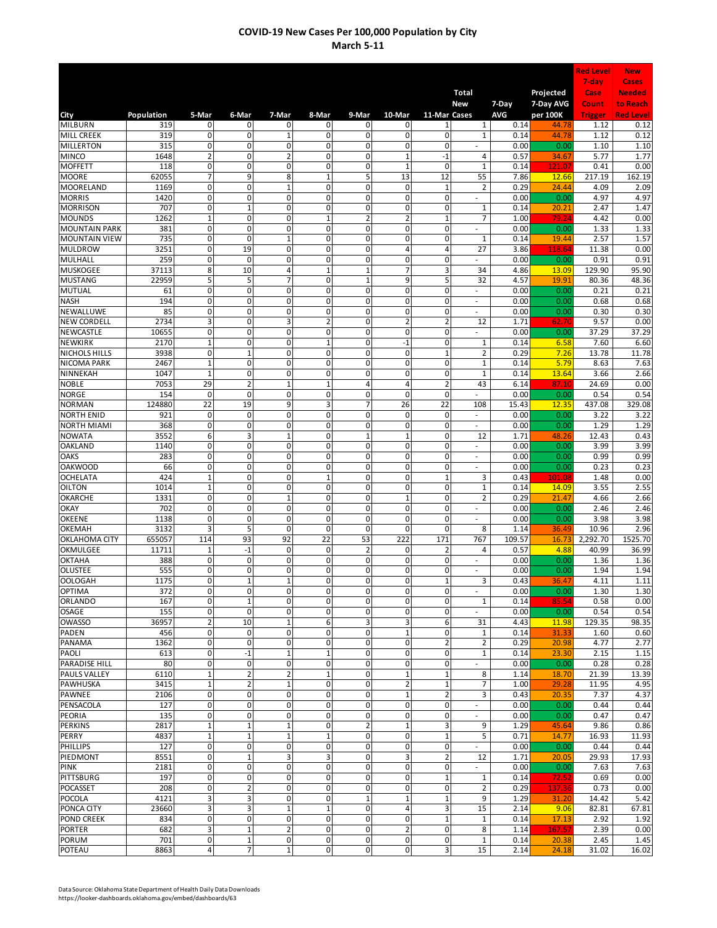|                                        |                 |                                        |                                           |                              |                            |                               |                                |                              |                                    |                |                       | <b>Red Level</b>  | <b>New</b>                   |
|----------------------------------------|-----------------|----------------------------------------|-------------------------------------------|------------------------------|----------------------------|-------------------------------|--------------------------------|------------------------------|------------------------------------|----------------|-----------------------|-------------------|------------------------------|
|                                        |                 |                                        |                                           |                              |                            |                               |                                |                              |                                    |                |                       | 7-day             | Cases                        |
|                                        |                 |                                        |                                           |                              |                            |                               |                                |                              | <b>Total</b>                       |                | Projected             | Case<br>Count     | <b>Needed</b>                |
| City                                   | Population      | 5-Mar                                  | 6-Mar                                     | 7-Mar                        | 8-Mar                      | 9-Mar                         | 10-Mar                         | 11-Mar Cases                 | New                                | 7-Day<br>AVG   | 7-Day AVG<br>per 100K | <b>Trigger</b>    | to Reach<br><b>Red Level</b> |
| <b>MILBURN</b>                         | 319             | $\mathbf 0$                            | 0                                         | 0                            | 0                          | 0                             | 0                              | 1                            | $\mathbf{1}$                       | 0.14           | 44.78                 | 1.12              | 0.12                         |
| <b>MILL CREEK</b>                      | 319             | 0                                      | 0                                         | $\mathbf{1}$                 | 0                          | 0                             | 0                              | $\mathbf 0$                  | $\mathbf 1$                        | 0.14           | 44.78                 | 1.12              | 0.12                         |
| <b>MILLERTON</b>                       | 315             | 0                                      | $\mathbf 0$<br>$\mathsf{o}$               | 0                            | 0                          | 0                             | 0                              | $\mathbf 0$                  |                                    | 0.00           | 0.00                  | 1.10              | 1.10                         |
| <b>MINCO</b><br><b>MOFFETT</b>         | 1648<br>118     | $\overline{2}$<br>$\overline{0}$       | $\overline{0}$                            | $\overline{2}$<br>0          | 0<br>0                     | 0<br>$\overline{0}$           | $\mathbf 1$<br>$\mathbf{1}$    | $-1$<br>$\mathbf 0$          | 4<br>$\mathbf 1$                   | 0.57<br>0.14   | 34.67<br>121.0        | 5.77<br>0.41      | 1.77<br>0.00                 |
| <b>MOORE</b>                           | 62055           | $\overline{7}$                         | $\overline{9}$                            | 8                            | $\mathbf{1}$               | $\overline{5}$                | 13                             | 12                           | 55                                 | 7.86           | 12.66                 | 217.19            | 162.19                       |
| <b>MOORELAND</b>                       | 1169            | 0                                      | 0                                         | $\mathbf{1}$                 | 0                          | $\pmb{0}$                     | 0                              | 1                            | $\overline{\mathbf{c}}$            | 0.29           | 24.44                 | 4.09              | 2.09                         |
| <b>MORRIS</b>                          | 1420            | 0                                      | $\mathbf 0$                               | 0                            | 0                          | $\mathbf 0$                   | 0                              | $\mathbf{0}$                 | $\overline{\phantom{a}}$           | 0.00           | 0.00                  | 4.97              | 4.97                         |
| <b>MORRISON</b><br><b>MOUNDS</b>       | 707<br>1262     | $\mathbf 0$<br>$\mathbf 1$             | $\mathbf 1$<br>0                          | 0<br>0                       | 0<br>$\mathbf{1}$          | 0<br>$\overline{2}$           | 0<br>$\overline{2}$            | $\mathbf 0$<br>$\mathbf{1}$  | 1<br>7                             | 0.14<br>1.00   | 20.21<br>79.24        | 2.47<br>4.42      | 1.47<br>0.00                 |
| <b>MOUNTAIN PARK</b>                   | 381             | 0                                      | 0                                         | 0                            | 0                          | 0                             | 0                              | $\mathbf 0$                  | ÷,                                 | 0.00           | 0.00                  | 1.33              | 1.33                         |
| <b>MOUNTAIN VIEW</b>                   | 735             | $\overline{0}$                         | $\mathbf 0$                               | $\mathbf{1}$                 | 0                          | $\mathbf 0$                   | $\mathbf 0$                    | $\mathbf{0}$                 | $\mathbf 1$                        | 0.14           | 19.44                 | 2.57              | 1.57                         |
| <b>MULDROW</b>                         | 3251            | 0                                      | 19                                        | 0                            | $\overline{0}$             | 0                             | 4                              | 4                            | 27                                 | 3.86           | 118.64                | 11.38             | 0.00                         |
| MULHALL                                | 259             | 0                                      | 0                                         | 0                            | 0                          | $\mathbf 0$                   | $\mathbf 0$                    | 0                            | ÷.                                 | 0.00           | 0.00                  | 0.91              | 0.91                         |
| <b>MUSKOGEE</b>                        | 37113           | $\overline{8}$                         | 10                                        | 4<br>$\overline{7}$          | $\mathbf{1}$<br>0          | $\mathbf 1$                   | 7                              | 3                            | 34                                 | 4.86           | 13.09                 | 129.90            | 95.90                        |
| <b>MUSTANG</b><br><b>MUTUAL</b>        | 22959<br>61     | 5<br>0                                 | 5<br>0                                    | 0                            | 0                          | $\mathbf 1$<br>0              | 9<br>0                         | 5<br>0                       | 32                                 | 4.57<br>0.00   | 19.91<br>0.00         | 80.36<br>0.21     | 48.36<br>0.21                |
| <b>NASH</b>                            | 194             | 0                                      | 0                                         | 0                            | 0                          | 0                             | 0                              | 0                            | ä,                                 | 0.00           | 0.00                  | 0.68              | 0.68                         |
| NEWALLUWE                              | 85              | 0                                      | 0                                         | $\mathbf 0$                  | 0                          | 0                             | 0                              | 0                            |                                    | 0.00           | 0.00                  | 0.30              | 0.30                         |
| <b>NEW CORDELL</b>                     | 2734            | 3                                      | 0                                         | 3                            | $\overline{2}$             | 0                             | $\overline{2}$                 | $\overline{2}$               | 12                                 | 1.71           | 62.70                 | 9.57              | 0.00                         |
| <b>NEWCASTLE</b>                       | 10655           | $\mathsf 0$                            | $\overline{0}$                            | 0                            | 0                          | $\mathbf 0$                   | $\mathbf 0$                    | $\mathbf 0$                  |                                    | 0.00           | 0.00                  | 37.29             | 37.29                        |
| <b>NEWKIRK</b><br><b>NICHOLS HILLS</b> | 2170<br>3938    | $\mathbf 1$<br>0                       | $\mathsf{o}$<br>$\mathbf{1}$              | 0<br>0                       | $\mathbf{1}$<br>0          | 0<br>$\pmb{0}$                | $^{\rm -1}$<br>$\mathbf 0$     | 0<br>$\mathbf{1}$            | $\mathbf{1}$<br>$\overline{2}$     | 0.14<br>0.29   | 6.58<br>7.26          | 7.60<br>13.78     | 6.60<br>11.78                |
| <b>NICOMA PARK</b>                     | 2467            | $\mathbf{1}$                           | $\overline{0}$                            | 0                            | 0                          | $\overline{0}$                | 0                              | 0                            | $\mathbf{1}$                       | 0.14           | 5.79                  | 8.63              | 7.63                         |
| NINNEKAH                               | 1047            | $\mathbf{1}$                           | $\overline{0}$                            | 0                            | 0                          | $\overline{0}$                | 0                              | $\mathbf{0}$                 | $\mathbf{1}$                       | 0.14           | 13.64                 | 3.66              | 2.66                         |
| <b>NOBLE</b>                           | 7053            | 29                                     | $\overline{\mathbf{c}}$                   | $\overline{1}$               | $\mathbf{1}$               | 4                             | 4                              | $\overline{2}$               | 43                                 | 6.14           | 87.10                 | 24.69             | 0.00                         |
| <b>NORGE</b>                           | 154             | 0                                      | $\overline{0}$                            | 0                            | 0                          | $\mathbf 0$                   | 0                              | $\mathbf 0$                  | $\overline{\phantom{a}}$           | 0.00           | 0.00                  | 0.54              | 0.54                         |
| <b>NORMAN</b><br><b>NORTH ENID</b>     | 124880<br>921   | 22<br>0                                | 19<br>0                                   | 9<br>0                       | 3<br>0                     | 7<br>$\mathbf 0$              | 26<br>0                        | 22<br>$\mathbf 0$            | 108                                | 15.43<br>0.00  | 12.35<br>0.00         | 437.08<br>3.22    | 329.08<br>3.22               |
| <b>NORTH MIAMI</b>                     | 368             | $\mathsf 0$                            | 0                                         | 0                            | 0                          | 0                             | 0                              | $\mathbf 0$                  | $\overline{\phantom{a}}$<br>$\sim$ | 0.00           | 0.00                  | 1.29              | 1.29                         |
| <b>NOWATA</b>                          | 3552            | 6                                      | 3                                         | $\mathbf{1}$                 | 0                          | $\mathbf 1$                   | $\mathbf 1$                    | $\mathbf 0$                  | 12                                 | 1.71           | 48.26                 | 12.43             | 0.43                         |
| <b>OAKLAND</b>                         | 1140            | 0                                      | $\mathbf 0$                               | 0                            | 0                          | 0                             | 0                              | 0                            | $\sim$                             | 0.00           | 0.00                  | 3.99              | 3.99                         |
| <b>OAKS</b>                            | 283             | $\mathbf 0$                            | $\mathbf 0$                               | $\mathbf 0$                  | 0                          | $\mathbf 0$                   | 0                              | 0                            | $\overline{\phantom{a}}$           | 0.00           | 0.00                  | 0.99              | 0.99                         |
| <b>OAKWOOD</b>                         | 66              | $\overline{0}$                         | $\overline{0}$                            | $\overline{0}$               | $\overline{0}$             | $\overline{0}$                | 0                              | 0                            | ÷,                                 | 0.00           | 0.00                  | 0.23              | 0.23                         |
| <b>OCHELATA</b><br><b>OILTON</b>       | 424<br>1014     | $\mathbf{1}$<br>$\mathbf{1}$           | $\mathbf 0$<br>0                          | 0<br>0                       | $\mathbf{1}$<br>0          | 0<br>0                        | 0<br>0                         | $\mathbf{1}$<br>$\Omega$     | 3<br>$\mathbf{1}$                  | 0.43<br>0.14   | 101.08<br>14.09       | 1.48<br>3.55      | 0.00<br>2.55                 |
| <b>OKARCHE</b>                         | 1331            | 0                                      | 0                                         | $\overline{1}$               | 0                          | 0                             | $\mathbf{1}$                   | 0                            | $\overline{2}$                     | 0.29           | 21.47                 | 4.66              | 2.66                         |
| <b>OKAY</b>                            | 702             | 0                                      | 0                                         | $\mathbf 0$                  | 0                          | 0                             | 0                              | 0                            |                                    | 0.00           | 0.00                  | 2.46              | 2.46                         |
| <b>OKEENE</b>                          | 1138            | 0                                      | 0                                         | 0                            | 0                          | 0                             | 0                              | 0                            | ÷,                                 | 0.00           | 0.00                  | 3.98              | 3.98                         |
| <b>OKEMAH</b>                          | 3132            | 3                                      | 5                                         | 0                            | 0                          | $\mathbf 0$                   | $\mathbf 0$                    | 0                            | 8                                  | 1.14           | 36.49                 | 10.96             | 2.96                         |
| OKLAHOMA CITY<br>OKMULGEE              | 655057<br>11711 | 114<br>$\mathbf{1}$                    | 93<br>$-1$                                | 92<br>0                      | 22<br>0                    | 53<br>$\mathbf 2$             | 222<br>0                       | 171<br>$\overline{2}$        | 767<br>4                           | 109.57<br>0.57 | 16.73<br>4.88         | 2,292.70<br>40.99 | 1525.70<br>36.99             |
| <b>OKTAHA</b>                          | 388             | 0                                      | $\overline{0}$                            | 0                            | 0                          | $\overline{0}$                | 0                              | 0                            | ÷,                                 | 0.00           | 0.00                  | 1.36              | 1.36                         |
| <b>OLUSTEE</b>                         | 555             | $\overline{0}$                         | $\overline{0}$                            | 0                            | 0                          | $\overline{0}$                | 0                              | 0                            | ÷.                                 | 0.00           | 0.00                  | 1.94              | 1.94                         |
| <b>OOLOGAH</b>                         | 1175            | 0                                      | $\mathbf 1$                               | $\mathbf{1}$                 | $\overline{0}$             | $\mathbf{0}$                  | $\mathbf{0}$                   | $\mathbf{1}$                 | 3                                  | 0.43           | 36.47                 | 4.11              | 1.11                         |
| <b>OPTIMA</b>                          | 372             | 0                                      | $\overline{0}$                            | 0                            | $\overline{0}$             | $\mathbf 0$                   | $\mathbf 0$                    | $\mathbf 0$                  | $\overline{\phantom{a}}$           | 0.00           | 0.00                  | 1.30              | 1.30                         |
| ORLANDO<br><b>OSAGE</b>                | 167<br>155      | $\mathbf 0$<br>$\mathbf 0$             | $\mathbf 1$<br>$\mathbf 0$                | 0<br>$\mathbf 0$             | $\mathbf 0$<br>$\mathbf 0$ | $\mathbf 0$<br>0              | $\mathbf 0$<br>$\mathbf 0$     | $\mathbf 0$<br>$\mathbf 0$   | 1<br>$\sim$                        | 0.14<br>0.00   | 85.54<br>0.00         | 0.58<br>0.54      | 0.00<br>0.54                 |
| <b>OWASSO</b>                          | 36957           | $\mathbf 2$                            | 10                                        | $\mathbf 1$                  | 6                          | 3                             | 3                              | 6                            | 31                                 | 4.43           | 11.98                 | 129.35            | 98.35                        |
| PADEN                                  | 456             | $\mathbf 0$                            | $\overline{0}$                            | O                            | O                          | $\mathbf 0$                   | $\mathbf 1$                    | $\mathbf 0$                  | 1                                  | 0.14           | 31.33                 | 1.60              | 0.60                         |
| PANAMA                                 | 1362            | $\mathbf 0$                            | $\overline{0}$                            | $\mathbf{0}$                 | $\overline{0}$             | $\mathbf 0$                   | $\mathbf 0$                    | $\overline{2}$               | 2                                  | 0.29           | 20.98                 | 4.77              | 2.77                         |
| PAOLI                                  | 613             | 0                                      | $-1$                                      | $\mathbf{1}$                 | $\mathbf{1}$               | 0                             | $\mathbf{0}$                   | $\mathbf 0$                  | $\mathbf 1$                        | 0.14           | 23.30                 | 2.15              | 1.15                         |
| PARADISE HILL<br><b>PAULS VALLEY</b>   | 80<br>6110      | 0<br>$\mathbf 1$                       | 0<br>$\overline{\mathbf{c}}$              | 0<br>$\overline{2}$          | 0<br>$\mathbf{1}$          | $\overline{0}$<br>$\mathbf 0$ | $\mathbf 0$<br>$\mathbf{1}$    | $\mathbf 0$<br>$\mathbf{1}$  | 8                                  | 0.00<br>1.14   | 0.00<br>18.70         | 0.28<br>21.39     | 0.28<br>13.39                |
| <b>PAWHUSKA</b>                        | 3415            | $\mathbf 1$                            | $\overline{\mathbf{c}}$                   | $\mathbf{1}$                 | 0                          | $\pmb{0}$                     | $\overline{2}$                 | $\mathbf 1$                  | 7                                  | 1.00           | 29.28                 | 11.95             | 4.95                         |
| <b>PAWNEE</b>                          | 2106            | 0                                      | 0                                         | 0                            | 0                          | 0                             | $\mathbf 1$                    | $\mathbf 2$                  | 3                                  | 0.43           | 20.35                 | 7.37              | 4.37                         |
| PENSACOLA                              | 127             | $\mathbf 0$                            | $\mathbf 0$                               | 0                            | 0                          | 0                             | $\mathbf 0$                    | 0                            |                                    | 0.00           | 0.00                  | 0.44              | 0.44                         |
| <b>PEORIA</b>                          | 135             | $\mathbf 0$                            | $\mathbf 0$                               | 0                            | 0                          | 0                             | $\mathbf 0$                    | $\mathbf 0$                  |                                    | 0.00           | 0.00                  | 0.47              | 0.47                         |
| <b>PERKINS</b><br>PERRY                | 2817<br>4837    | $\overline{\mathbf{1}}$<br>$\mathbf 1$ | $\overline{1}$<br>$\overline{\mathbf{1}}$ | $\mathbf{1}$<br>$\mathbf{1}$ | $\mathbf 0$<br>$\mathbf 1$ | $\mathbf 2$<br>$\mathbf 0$    | $\mathbf 1$<br>$\mathbf 0$     | 3<br>$1\overline{ }$         | 9<br>5                             | 1.29<br>0.71   | 45.64<br>14.77        | 9.86<br>16.93     | 0.86<br>11.93                |
| <b>PHILLIPS</b>                        | 127             | $\mathsf 0$                            | $\mathbf 0$                               | 0                            | 0                          | $\pmb{0}$                     | 0                              | $\mathbf 0$                  | $\omega$                           | 0.00           | 0.00                  | 0.44              | 0.44                         |
| PIEDMONT                               | 8551            | $\pmb{0}$                              | $\mathbf 1$                               | 3                            | 3                          | $\pmb{0}$                     | 3                              | $\overline{2}$               | 12                                 | 1.71           | 20.05                 | 29.93             | 17.93                        |
| <b>PINK</b>                            | 2181            | $\mathbf 0$                            | $\mathbf 0$                               | $\mathbf 0$                  | $\mathbf 0$                | $\pmb{0}$                     | $\pmb{0}$                      | $\mathbf 0$                  | ÷.                                 | 0.00           | 0.00                  | 7.63              | 7.63                         |
| <b>PITTSBURG</b>                       | 197             | $\mathbf 0$                            | $\overline{0}$                            | $\overline{0}$               | $\overline{0}$             | $\mathbf 0$                   | $\mathbf 0$                    | $\mathbf{1}$                 | $\mathbf{1}$                       | 0.14           | 72.52                 | 0.69              | 0.00                         |
| <b>POCASSET</b>                        | 208             | $\pmb{0}$                              | $\overline{\mathbf{c}}$                   | $\overline{0}$               | O                          | $\overline{\mathbf{0}}$       | $\mathbf 0$                    | $\mathbf{0}$                 | $\overline{\mathbf{c}}$            | 0.29           | 137.36                | 0.73              | 0.00                         |
| <b>POCOLA</b><br>PONCA CITY            | 4121<br>23660   | 3<br>$\mathbf{3}$                      | 3<br>3                                    | 0<br>$\mathbf{1}$            | 0<br>$\mathbf{1}$          | $\mathbf 1$<br>0              | $\mathbf{1}$<br>$\overline{a}$ | 1<br>$\overline{\mathbf{3}}$ | 9<br>15                            | 1.29<br>2.14   | 31.20<br>9.06         | 14.42<br>82.81    | 5.42<br>67.81                |
| POND CREEK                             | 834             | $\pmb{0}$                              | $\mathbf 0$                               | $\mathbf 0$                  | $\mathbf 0$                | 0                             | $\mathbf 0$                    | $\mathbf 1$                  | 1                                  | 0.14           | 17.13                 | 2.92              | 1.92                         |
| <b>PORTER</b>                          | 682             | $\overline{\mathbf{3}}$                | $\mathbf 1$                               | 2                            | $\mathbf 0$                | $\mathbf{0}$                  | $\overline{2}$                 | $\mathbf 0$                  | 8                                  | 1.14           | 167.57                | 2.39              | 0.00                         |
| <b>PORUM</b>                           | 701             | $\pmb{0}$                              | $\mathbf 1$                               | $\mathbf 0$                  | $\mathbf 0$                | $\pmb{0}$                     | $\mathbf 0$                    | $\mathbf 0$                  | $\mathbf{1}$                       | 0.14           | 20.38                 | 2.45              | 1.45                         |
| POTEAU                                 | 8863            | $\overline{\mathbf{r}}$                | $\overline{7}$                            | $\mathbf 1$                  | O                          | $\pmb{0}$                     | $\pmb{0}$                      | $\overline{\mathbf{3}}$      | 15                                 | 2.14           | 24.18                 | 31.02             | 16.02                        |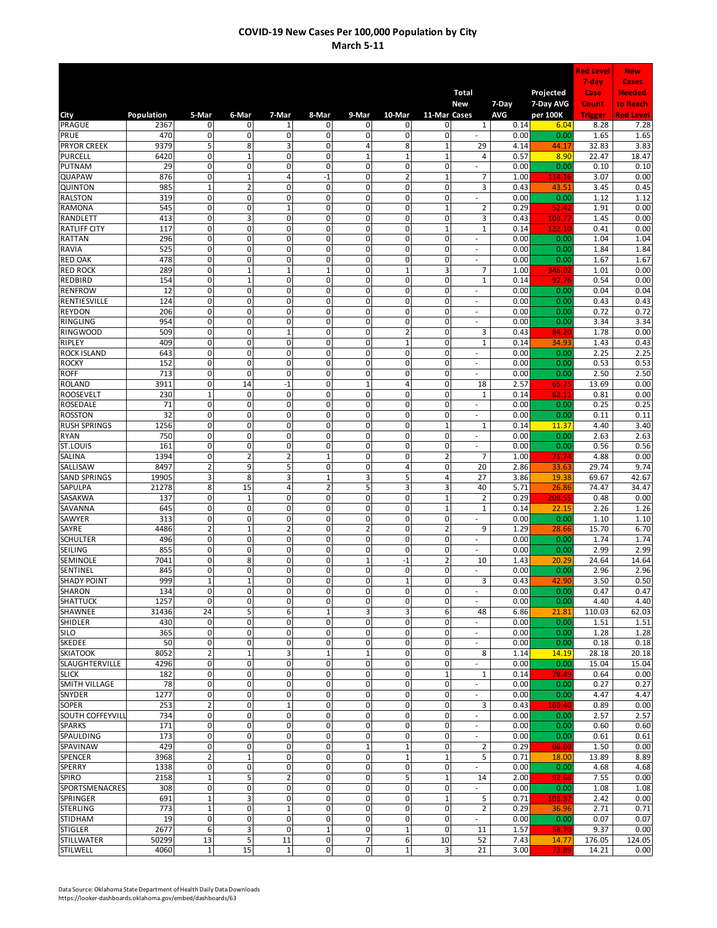|                                       |                |                               |                             |                                  |                               |                     |                            |                              |                                    |                     |                       | <b>Red Level</b> | <b>New</b>                   |
|---------------------------------------|----------------|-------------------------------|-----------------------------|----------------------------------|-------------------------------|---------------------|----------------------------|------------------------------|------------------------------------|---------------------|-----------------------|------------------|------------------------------|
|                                       |                |                               |                             |                                  |                               |                     |                            |                              |                                    |                     |                       | 7-day            | <b>Cases</b>                 |
|                                       |                |                               |                             |                                  |                               |                     |                            |                              | <b>Total</b>                       |                     | Projected             | Case<br>Count    | <b>Needed</b>                |
| City                                  | Population     | 5-Mar                         | 6-Mar                       | 7-Mar                            | 8-Mar                         | 9-Mar               | 10-Mar                     | 11-Mar Cases                 | New                                | 7-Day<br><b>AVG</b> | 7-Day AVG<br>per 100K | <b>Trigger</b>   | to Reach<br><b>Red Level</b> |
| <b>PRAGUE</b>                         | 2367           | 0                             | 0                           | 1                                | 0                             | 0                   | 0                          | 0                            | $\mathbf{1}$                       | 0.14                | 6.04                  | 8.28             | 7.28                         |
| PRUE                                  | 470            | $\mathbf 0$                   | 0                           | $\mathbf 0$                      | 0                             | 0                   | 0                          | $\mathbf 0$                  |                                    | 0.00                | 0.00                  | 1.65             | 1.65                         |
| <b>PRYOR CREEK</b><br><b>PURCELL</b>  | 9379<br>6420   | 5<br>0                        | 8<br>$\mathbf 1$            | 3<br>0                           | 0<br>0                        | 4<br>$\mathbf{1}$   | 8<br>$\mathbf 1$           | $\mathbf{1}$<br>$\mathbf{1}$ | 29<br>4                            | 4.14<br>0.57        | 44.17<br>8.90         | 32.83<br>22.47   | 3.83<br>18.47                |
| <b>PUTNAM</b>                         | 29             | 0                             | 0                           | 0                                | 0                             | 0                   | $\pmb{0}$                  | 0                            |                                    | 0.00                | 0.00                  | 0.10             | 0.10                         |
| <b>QUAPAW</b>                         | 876            | 0                             | $\overline{1}$              | $\overline{4}$                   | $-1$                          | 0                   | $\overline{2}$             | $\mathbf 1$                  | 7                                  | 1.00                | 114.16                | 3.07             | 0.00                         |
| QUINTON                               | 985            | $\mathbf{1}$                  | $\overline{2}$              | $\mathbf 0$                      | 0                             | 0                   | $\mathbf 0$                | 0                            | 3                                  | 0.43                | 43.51                 | 3.45             | 0.45                         |
| <b>RALSTON</b><br><b>RAMONA</b>       | 319<br>545     | $\overline{0}$<br>0           | $\overline{0}$<br>0         | $\overline{0}$<br>$\overline{1}$ | $\overline{0}$<br>0           | $\overline{0}$<br>0 | $\overline{0}$<br>0        | $\mathbf 0$<br>$\mathbf{1}$  | ÷,<br>$\overline{\mathbf{c}}$      | 0.00<br>0.29        | 0.00<br>52.42         | 1.12<br>1.91     | 1.12<br>0.00                 |
| RANDLETT                              | 413            | 0                             | 3                           | 0                                | 0                             | 0                   | 0                          | $\mathbf 0$                  | 3                                  | 0.43                | 103.7                 | 1.45             | 0.00                         |
| <b>RATLIFF CITY</b>                   | 117            | 0                             | 0                           | $\mathbf 0$                      | 0                             | 0                   | 0                          | $\mathbf{1}$                 | $\mathbf{1}$                       | 0.14                | 122.1                 | 0.41             | 0.00                         |
| <b>RATTAN</b>                         | 296            | 0                             | 0                           | $\mathbf 0$                      | 0                             | 0                   | 0                          | $\mathbf 0$                  | $\overline{\phantom{a}}$           | 0.00                | 0.00                  | 1.04             | 1.04                         |
| <b>RAVIA</b><br><b>RED OAK</b>        | 525<br>478     | 0<br>0                        | 0<br>$\overline{0}$         | $\mathbf 0$<br>$\mathbf 0$       | 0<br>0                        | 0<br>0              | 0<br>0                     | 0<br>0                       | $\overline{\phantom{a}}$<br>$\sim$ | 0.00<br>0.00        | 0.00<br>0.00          | 1.84<br>1.67     | 1.84<br>1.67                 |
| <b>RED ROCK</b>                       | 289            | 0                             | $\overline{1}$              | $\overline{1}$                   | $\mathbf 1$                   | 0                   | $\mathbf 1$                | 3                            | 7                                  | 1.00                | 346.0                 | 1.01             | 0.00                         |
| <b>REDBIRD</b>                        | 154            | 0                             | $\mathbf{1}$                | $\mathbf 0$                      | 0                             | 0                   | 0                          | 0                            | $\mathbf 1$                        | 0.14                | 92.76                 | 0.54             | 0.00                         |
| <b>RENFROW</b>                        | 12             | 0                             | $\overline{0}$              | $\mathbf 0$                      | 0                             | 0                   | 0                          | $\mathbf 0$                  | $\overline{\phantom{a}}$           | 0.00                | 0.00                  | 0.04             | 0.04                         |
| <b>RENTIESVILLE</b>                   | 124<br>206     | 0<br>$\mathbf 0$              | $\overline{0}$<br>0         | 0<br>$\mathbf 0$                 | $\overline{0}$<br>0           | 0<br>$\overline{0}$ | 0<br>$\mathbf 0$           | $\mathbf 0$<br>$\mathbf 0$   | $\overline{\phantom{a}}$           | 0.00<br>0.00        | 0.00<br>0.00          | 0.43             | 0.43<br>0.72                 |
| <b>REYDON</b><br><b>RINGLING</b>      | 954            | $\mathbf 0$                   | 0                           | 0                                | 0                             | 0                   | 0                          | $\mathbf 0$                  | ٠<br>ä,                            | 0.00                | 0.00                  | 0.72<br>3.34     | 3.34                         |
| <b>RINGWOOD</b>                       | 509            | $\mathbf 0$                   | 0                           | $\overline{1}$                   | 0                             | 0                   | $\overline{a}$             | $\mathbf 0$                  | 3                                  | 0.43                | 84.20                 | 1.78             | 0.00                         |
| <b>RIPLEY</b>                         | 409            | 0                             | 0                           | 0                                | 0                             | 0                   | $\mathbf 1$                | $\mathbf 0$                  | $\overline{1}$                     | 0.14                | 34.93                 | 1.43             | 0.43                         |
| <b>ROCK ISLAND</b>                    | 643            | 0                             | $\mathsf 0$                 | $\mathbf 0$                      | 0                             | 0                   | $\mathbf{0}$               | $\mathbf 0$                  | ÷,                                 | 0.00                | 0.00                  | 2.25             | 2.25                         |
| <b>ROCKY</b><br><b>ROFF</b>           | 152<br>713     | 0<br>0                        | 0<br>$\overline{0}$         | 0<br>$\overline{0}$              | 0<br>0                        | 0<br>0              | $\pmb{0}$<br>$\pmb{0}$     | 0<br>0                       | ÷,<br>ä,                           | 0.00<br>0.00        | 0.00<br>0.00          | 0.53<br>2.50     | 0.53<br>2.50                 |
| <b>ROLAND</b>                         | 3911           | 0                             | 14                          | $-1$                             | 0                             | $\mathbf{1}$        | 4                          | 0                            | 18                                 | 2.57                | 65.75                 | 13.69            | 0.00                         |
| <b>ROOSEVELT</b>                      | 230            | $\mathbf{1}$                  | $\overline{0}$              | $\overline{0}$                   | $\overline{0}$                | 0                   | $\overline{0}$             | $\mathbf 0$                  | $\mathbf{1}$                       | 0.14                | 62.1                  | 0.81             | 0.00                         |
| <b>ROSEDALE</b>                       | 71             | 0                             | 0                           | $\mathbf 0$                      | 0                             | 0                   | 0                          | $\mathbf 0$                  | ÷,                                 | 0.00                | 0.00                  | 0.25             | 0.25                         |
| <b>ROSSTON</b><br><b>RUSH SPRINGS</b> | 32<br>1256     | 0<br>0                        | 0<br>0                      | 0<br>$\mathbf 0$                 | 0<br>0                        | 0<br>0              | 0<br>0                     | $\mathbf 0$<br>$\mathbf{1}$  | $\sim$<br>1                        | 0.00<br>0.14        | 0.00<br>11.37         | 0.11<br>4.40     | 0.11<br>3.40                 |
| <b>RYAN</b>                           | 750            | 0                             | 0                           | $\mathbf 0$                      | 0                             | 0                   | 0                          | 0                            | $\overline{\phantom{a}}$           | 0.00                | 0.00                  | 2.63             | 2.63                         |
| ST.LOUIS                              | 161            | 0                             | 0                           | $\mathbf 0$                      | 0                             | 0                   | 0                          | 0                            | $\overline{\phantom{a}}$           | 0.00                | 0.00                  | 0.56             | 0.56                         |
| <b>SALINA</b>                         | 1394           | 0                             | $\overline{2}$              | $\overline{\mathbf{c}}$          | $\mathbf 1$                   | 0                   | 0                          | $\overline{2}$               | 7                                  | 1.00                | 71.74                 | 4.88             | 0.00                         |
| SALLISAW                              | 8497           | $\overline{2}$                | 9<br>8                      | 5                                | $\mathbf 0$                   | 0                   | 4                          | 0                            | 20                                 | 2.86                | 33.63                 | 29.74            | 9.74                         |
| <b>SAND SPRINGS</b><br>SAPULPA        | 19905<br>21278 | 3<br>8                        | 15                          | 3<br>4                           | $\mathbf 1$<br>$\overline{2}$ | 3<br>5              | 5<br>3                     | $\overline{4}$<br>3          | 27<br>40                           | 3.86<br>5.71        | 19.38<br>26.86        | 69.67<br>74.47   | 42.67<br>34.47               |
| <b>SASAKWA</b>                        | 137            | 0                             | $\mathbf{1}$                | $\mathbf 0$                      | $\overline{0}$                | 0                   | 0                          | $\mathbf{1}$                 | $\overline{2}$                     | 0.29                | 208.55                | 0.48             | 0.00                         |
| SAVANNA                               | 645            | $\mathbf 0$                   | 0                           | 0                                | 0                             | 0                   | 0                          | $\mathbf{1}$                 | $\mathbf{1}$                       | 0.14                | 22.15                 | 2.26             | 1.26                         |
| SAWYER                                | 313            | $\mathbf 0$                   | 0                           | 0                                | 0                             | 0                   | 0                          | $\mathbf 0$                  |                                    | 0.00                | 0.00                  | 1.10             | 1.10                         |
| SAYRE<br><b>SCHULTER</b>              | 4486<br>496    | $\overline{2}$<br>0           | $\mathbf{1}$<br>0           | $\overline{2}$<br>0              | 0<br>0                        | $\overline{2}$<br>0 | 0<br>0                     | $\overline{2}$<br>0          | 9                                  | 1.29<br>0.00        | 28.66<br>0.00         | 15.70<br>1.74    | 6.70<br>1.74                 |
| SEILING                               | 855            | 0                             | $\mathsf 0$                 | $\mathbf 0$                      | 0                             | 0                   | $\mathbf 0$                | 0                            |                                    | 0.00                | 0.00                  | 2.99             | 2.99                         |
| SEMINOLE                              | 7041           | 0                             | 8                           | 0                                | 0                             | $\mathbf 1$         | $-1$                       | $\overline{2}$               | 10                                 | 1.43                | 20.29                 | 24.64            | 14.64                        |
| SENTINEL<br><b>SHADY POINT</b>        | 845            | 0                             | $\overline{0}$              | $\overline{0}$<br>$\overline{0}$ | 0                             | 0                   | $\mathbf 0$                | $\mathbf 0$                  | ÷.                                 | 0.00                | 0.00                  | 2.96             | 2.96                         |
| <b>SHARON</b>                         | 999<br>134     | $\mathbf{1}$<br>$\pmb{0}$     | $\mathbf{1}$<br>$\mathbf 0$ | $\pmb{0}$                        | $\mathbf 0$<br>$\pmb{0}$      | 0<br>$\mathbf 0$    | $\mathbf 1$<br>$\pmb{0}$   | $\mathbf 0$<br>0             | 3<br>÷.                            | 0.43<br>0.00        | 42.90<br>0.00         | 3.50<br>0.47     | 0.50<br>0.47                 |
| <b>SHATTUCK</b>                       | 1257           | $\mathbf 0$                   | $\mathbf 0$                 | $\mathbf 0$                      | $\mathbf 0$                   | $\mathbf 0$         | 0                          | 0                            | ÷,                                 | 0.00                | 0.00                  | 4.40             | 4.40                         |
| <b>SHAWNEE</b>                        | 31436          | 24                            | 5                           | 6                                | $\overline{1}$                | 3                   | 3                          | 6                            | 48                                 | 6.86                | 21.81                 | 110.03           | 62.03                        |
| SHIDLER                               | 430            | $\mathbf 0$                   | 0                           | 0                                | 0                             | 0                   | $\pmb{0}$                  | 0                            | $\sim$                             | 0.00                | 0.00                  | 1.51             | 1.51                         |
| <b>SILO</b><br><b>SKEDEE</b>          | 365<br>50      | 0<br>$\mathbf 0$              | 0<br>0                      | 0<br>0                           | 0<br>0                        | 0<br>0              | 0<br>$\pmb{0}$             | 0<br>0                       | $\sim$<br>$\sim$                   | 0.00<br>0.00        | 0.00<br>0.00          | 1.28<br>0.18     | 1.28<br>0.18                 |
| <b>SKIATOOK</b>                       | 8052           | $\overline{2}$                | $\overline{1}$              | 3                                | $\mathbf 1$                   | $\mathbf 1$         | $\pmb{0}$                  | 0                            | 8                                  | 1.14                | 14.19                 | 28.18            | 20.18                        |
| <b>SLAUGHTERVILLE</b>                 | 4296           | $\mathbf 0$                   | $\mathbf 0$                 | $\mathbf 0$                      | $\mathbf{0}$                  | $\mathbf 0$         | $\pmb{0}$                  | 0                            | $\overline{\phantom{a}}$           | 0.00                | 0.00                  | 15.04            | 15.04                        |
| <b>SLICK</b>                          | 182            | 0                             | $\mathbf 0$                 | $\mathbf 0$                      | $\mathbf 0$                   | 0                   | $\pmb{0}$                  | $\mathbf 1$                  | $\mathbf 1$                        | 0.14                | 78.49                 | 0.64             | 0.00                         |
| <b>SMITH VILLAGE</b><br>SNYDER        | 78<br>1277     | $\mathbf 0$<br>0              | $\overline{0}$<br>0         | $\mathbf 0$<br>$\mathbf 0$       | $\mathbf 0$<br>$\mathbf 0$    | 0<br>0              | $\pmb{0}$<br>0             | 0<br>$\mathbf 0$             | $\sim$<br>$\overline{\phantom{a}}$ | 0.00<br>0.00        | 0.00<br>0.00          | 0.27<br>4.47     | 0.27<br>4.47                 |
| <b>SOPER</b>                          | 253            | $\overline{2}$                | 0                           | $\overline{1}$                   | 0                             | 0                   | 0                          | $\mathbf 0$                  | 3                                  | 0.43                | 169.40                | 0.89             | 0.00                         |
| SOUTH COFFEYVILL                      | 734            | 0                             | 0                           | 0                                | 0                             | 0                   | 0                          | 0                            |                                    | 0.00                | 0.00                  | 2.57             | 2.57                         |
| <b>SPARKS</b>                         | 171            | 0                             | 0                           | $\mathbf 0$                      | 0                             | 0                   | 0                          | $\mathbf 0$                  |                                    | 0.00                | 0.00                  | 0.60             | 0.60                         |
| SPAULDING                             | 173            | $\mathbf 0$                   | 0                           | 0                                | 0                             | 0                   | 0                          | 0                            |                                    | 0.00                | 0.00                  | 0.61             | 0.61                         |
| SPAVINAW<br><b>SPENCER</b>            | 429<br>3968    | $\mathbf 0$<br>$\overline{2}$ | $\pmb{0}$<br>$\overline{1}$ | $\overline{0}$<br>$\mathbf 0$    | 0<br>$\mathbf 0$              | $\mathbf{1}$<br>0   | $\mathbf 1$<br>$\mathbf 1$ | $\mathbf 0$<br>$\mathbf{1}$  | $\overline{2}$<br>5                | 0.29<br>0.71        | 66.60<br>18.00        | 1.50<br>13.89    | 0.00<br>8.89                 |
| SPERRY                                | 1338           | 0                             | $\mathsf 0$                 | $\mathbf 0$                      | 0                             | 0                   | $\pmb{0}$                  | 0                            | $\sim$                             | 0.00                | 0.00                  | 4.68             | 4.68                         |
| <b>SPIRO</b>                          | 2158           | $\mathbf 1$                   | 5                           | $\overline{\mathbf{c}}$          | 0                             | 0                   | 5                          | $\mathbf 1$                  | 14                                 | 2.00                | 92.68                 | 7.55             | 0.00                         |
| SPORTSMENACRES                        | 308            | $\mathsf{o}$                  | $\overline{0}$              | $\overline{0}$                   | 0                             | 0                   | $\overline{0}$             | 0                            | $\omega$                           | 0.00                | 0.00                  | 1.08             | 1.08                         |
| SPRINGER<br><b>STERLING</b>           | 691<br>773     | $\mathbf 1$<br>$\mathbf{1}$   | 3<br>0                      | $\mathbf 0$<br>$\mathbf 1$       | $\mathbf 0$<br>$\mathbf 0$    | 0<br>0              | $\pmb{0}$<br>$\mathbf 0$   | $\mathbf{1}$<br>$\mathbf 0$  | 5<br>$\overline{2}$                | 0.71<br>0.29        | 103.37<br>36.96       | 2.42<br>2.71     | 0.00<br>0.71                 |
| <b>STIDHAM</b>                        | 19             | $\mathbf 0$                   | 0                           | $\mathbf 0$                      | 0                             | 0                   | $\pmb{0}$                  | 0                            | ٠                                  | 0.00                | 0.00                  | 0.07             | 0.07                         |
| <b>STIGLER</b>                        | 2677           | 6                             | 3                           | 0                                | $\mathbf 1$                   | 0                   | $\mathbf 1$                | 0                            | 11                                 | 1.57                | 58.70                 | 9.37             | 0.00                         |
| <b>STILLWATER</b>                     | 50299          | 13                            | 5                           | 11                               | $\pmb{0}$                     | 7                   | 6                          | 10                           | 52                                 | 7.43                | 14.77                 | 176.05           | 124.05                       |
| <b>STILWELL</b>                       | 4060           | $1\,$                         | 15                          | $\mathbf 1$                      | $\mathbf 0$                   | $\overline{0}$      | $\mathbf 1$                | 3                            | 21                                 | 3.00                | 73.89                 | 14.21            | 0.00                         |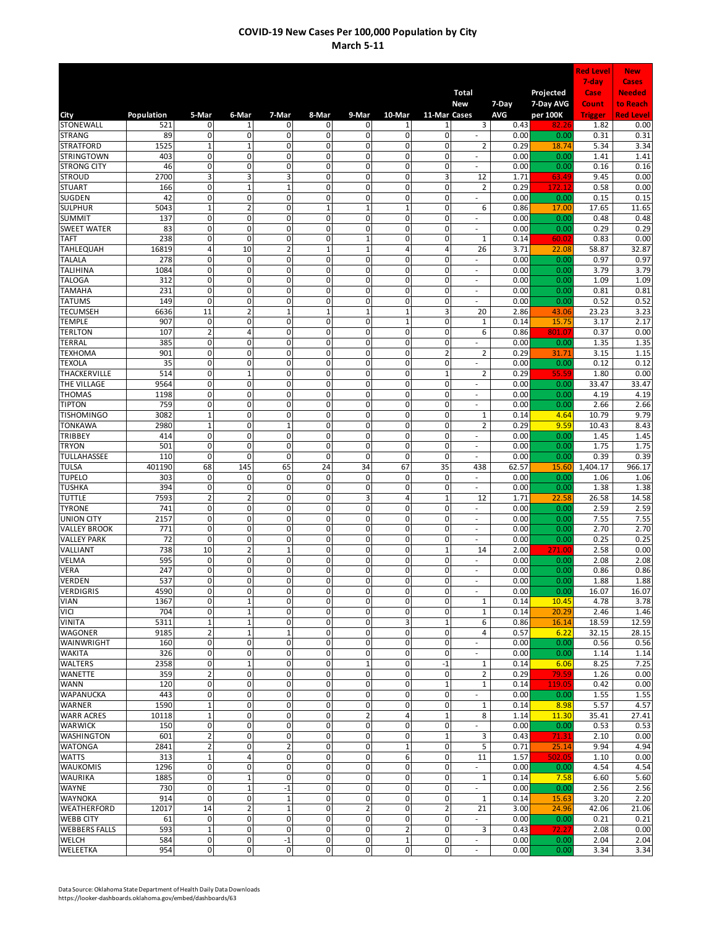|                                       |              |                                           |                                  |                               |                                  |                                  |                                                    |                             |                                    |              |                        | <b>Red Level</b> | <b>New</b>                |
|---------------------------------------|--------------|-------------------------------------------|----------------------------------|-------------------------------|----------------------------------|----------------------------------|----------------------------------------------------|-----------------------------|------------------------------------|--------------|------------------------|------------------|---------------------------|
|                                       |              |                                           |                                  |                               |                                  |                                  |                                                    |                             |                                    |              |                        | 7-day            | <b>Cases</b>              |
|                                       |              |                                           |                                  |                               |                                  |                                  |                                                    |                             | <b>Total</b><br><b>New</b>         | $7-Day$      | Projected<br>7-Day AVG | Case<br>Count    | <b>Needed</b><br>to Reach |
| City                                  | Population   | 5-Mar                                     | 6-Mar                            | 7-Mar                         | 8-Mar                            | 9-Mar                            | 10-Mar                                             | 11-Mar Cases                |                                    | AVG          | per 100K               | <b>Trigger</b>   | <b>Red Level</b>          |
| <b>STONEWALL</b>                      | 521          | $\mathbf{0}$                              | 1                                | 0                             | 0                                | 0                                | 1                                                  | 1                           | 3                                  | 0.43         | 82.                    | 1.82             | 0.00                      |
| <b>STRANG</b>                         | 89           | $\mathbf 0$                               | 0                                | 0                             | 0                                | 0                                | $\mathbf 0$                                        | $\pmb{0}$                   |                                    | 0.00         | 0.00                   | 0.31             | 0.31                      |
| <b>STRATFORD</b><br><b>STRINGTOWN</b> | 1525<br>403  | $\mathbf 1$<br>$\overline{0}$             | $\mathbf 1$<br>$\overline{0}$    | 0<br>0                        | 0<br>$\overline{0}$              | 0<br>0                           | $\mathbf 0$<br>0                                   | 0<br>0                      | $\overline{2}$<br>$\sim$           | 0.29<br>0.00 | 18.74<br>0.00          | 5.34<br>1.41     | 3.34<br>1.41              |
| <b>STRONG CITY</b>                    | 46           | $\mathsf{o}$                              | $\overline{0}$                   | 0                             | $\overline{0}$                   | $\overline{0}$                   | $\overline{0}$                                     | 0                           | $\sim$                             | 0.00         | 0.00                   | 0.16             | 0.16                      |
| <b>STROUD</b>                         | 2700         | 3                                         | 3                                | 3                             | $\overline{0}$                   | $\overline{0}$                   | $\overline{0}$                                     | 3                           | 12                                 | 1.71         | 63.49                  | 9.45             | 0.00                      |
| <b>STUART</b>                         | 166          | $\mathbf 0$                               | $\mathbf{1}$                     | $\mathbf 1$                   | 0                                | $\pmb{0}$                        | $\pmb{0}$                                          | 0                           | $\overline{2}$                     | 0.29         | 172.1                  | 0.58             | 0.00                      |
| SUGDEN                                | 42           | $\mathbf{0}$                              | 0                                | 0                             | 0                                | 0                                | $\mathbf{0}$                                       | $\mathbf 0$                 | $\sim$                             | 0.00         | 0.00                   | 0.15             | 0.15                      |
| <b>SULPHUR</b><br><b>SUMMIT</b>       | 5043<br>137  | $\mathbf 1$<br>$\mathbf 0$                | $\overline{\mathbf{c}}$<br>0     | 0<br>0                        | $\mathbf{1}$<br>0                | $\mathbf 1$<br>0                 | $\mathbf{1}$<br>0                                  | 0<br>0                      | 6<br>$\sim$                        | 0.86<br>0.00 | 17.00<br>0.00          | 17.65<br>0.48    | 11.65<br>0.48             |
| <b>SWEET WATER</b>                    | 83           | $\mathbf 0$                               | 0                                | 0                             | 0                                | 0                                | 0                                                  | 0                           | $\overline{\phantom{a}}$           | 0.00         | 0.00                   | 0.29             | 0.29                      |
| <b>TAFT</b>                           | 238          | $\mathbf 0$                               | 0                                | 0                             | 0                                | $\mathbf 1$                      | $\pmb{0}$                                          | 0                           | $\mathbf 1$                        | 0.14         | 60.02                  | 0.83             | 0.00                      |
| TAHLEQUAH                             | 16819        | 4                                         | 10                               | $\overline{2}$                | $\mathbf{1}$                     | $\mathbf 1$                      | 4                                                  | $\sqrt{4}$                  | 26                                 | 3.71         | 22.08                  | 58.87            | 32.87                     |
| <b>TALALA</b><br>TALIHINA             | 278<br>1084  | $\mathbf 0$<br>$\mathbf{0}$               | 0<br>0                           | 0<br>0                        | 0<br>0                           | $\pmb{0}$<br>0                   | 0<br>0                                             | $\mathbf 0$<br>$\mathbf 0$  | $\sim$<br>ä,                       | 0.00<br>0.00 | 0.00<br>0.00           | 0.97<br>3.79     | 0.97<br>3.79              |
| <b>TALOGA</b>                         | 312          | 0                                         | $\mathbf 0$                      | 0                             | 0                                | 0                                | 0                                                  | $\mathbf 0$                 | $\overline{\phantom{a}}$           | 0.00         | 0.00                   | 1.09             | 1.09                      |
| <b>TAMAHA</b>                         | 231          | 0                                         | 0                                | 0                             | 0                                | 0                                | 0                                                  | $\mathbf 0$                 | ÷,                                 | 0.00         | 0.00                   | 0.81             | 0.81                      |
| <b>TATUMS</b>                         | 149          | 0                                         | 0                                | 0                             | 0                                | 0                                | 0                                                  | $\mathbf 0$                 | ÷,                                 | 0.00         | 0.00                   | 0.52             | 0.52                      |
| <b>TECUMSEH</b>                       | 6636         | 11<br>$\mathbf 0$                         | $\overline{2}$<br>0              | $\mathbf{1}$<br>0             | $\overline{1}$<br>0              | $\overline{1}$<br>0              | $\mathbf 1$                                        | 3                           | 20                                 | 2.86         | 43.06                  | 23.23            | 3.23                      |
| <b>TEMPLE</b><br><b>TERLTON</b>       | 907<br>107   | $\overline{2}$                            | 4                                | 0                             | 0                                | 0                                | $\mathbf{1}$<br>$\mathbf 0$                        | 0<br>$\mathbf 0$            | $\mathbf{1}$<br>6                  | 0.14<br>0.86 | 15.75<br>801.07        | 3.17<br>0.37     | 2.17<br>0.00              |
| TERRAL                                | 385          | $\mathbf 0$                               | $\overline{0}$                   | 0                             | 0                                | 0                                | 0                                                  | 0                           | ä,                                 | 0.00         | 0.00                   | 1.35             | 1.35                      |
| TEXHOMA                               | 901          | $\mathbf 0$                               | 0                                | 0                             | 0                                | $\pmb{0}$                        | $\pmb{0}$                                          | $\overline{2}$              | $\overline{2}$                     | 0.29         | 31.71                  | 3.15             | 1.15                      |
| <b>TEXOLA</b>                         | 35           | $\mathbf 0$                               | $\overline{0}$                   | 0                             | $\overline{0}$                   | $\overline{0}$                   | $\overline{0}$                                     | 0                           | ÷,                                 | 0.00         | 0.00                   | 0.12             | 0.12                      |
| THACKERVILLE                          | 514          | $\mathsf{o}$<br>$\mathbf 0$               | $\overline{1}$<br>0              | $\overline{0}$<br>0           | $\overline{0}$<br>0              | $\overline{0}$<br>$\pmb{0}$      | $\overline{0}$<br>$\pmb{0}$                        | $\mathbf{1}$<br>$\mathbf 0$ | 2<br>÷,                            | 0.29         | 55.5                   | 1.80             | 0.00                      |
| THE VILLAGE<br>THOMAS                 | 9564<br>1198 | $\mathbf 0$                               | 0                                | 0                             | 0                                | 0                                | $\mathbf{0}$                                       | $\mathbf 0$                 | $\sim$                             | 0.00<br>0.00 | 0.00<br>0.00           | 33.47<br>4.19    | 33.47<br>4.19             |
| <b>TIPTON</b>                         | 759          | $\mathbf 0$                               | 0                                | 0                             | 0                                | 0                                | 0                                                  | 0                           | $\overline{\phantom{a}}$           | 0.00         | 0.00                   | 2.66             | 2.66                      |
| <b>TISHOMINGO</b>                     | 3082         | $\mathbf{1}$                              | 0                                | 0                             | 0                                | 0                                | 0                                                  | 0                           | $\mathbf 1$                        | 0.14         | 4.64                   | 10.79            | 9.79                      |
| TONKAWA                               | 2980         | $\mathbf{1}$                              | 0                                | $\mathbf 1$                   | 0                                | 0                                | $\pmb{0}$                                          | 0                           | $\overline{2}$                     | 0.29         | 9.59                   | 10.43            | 8.43                      |
| TRIBBEY<br><b>TRYON</b>               | 414<br>501   | $\mathbf 0$<br>$\overline{\mathbf{0}}$    | $\overline{0}$<br>$\overline{0}$ | $\mathbf 0$<br>$\mathbf 0$    | $\overline{0}$<br>$\overline{0}$ | 0<br>0                           | $\overline{\mathbf{0}}$<br>$\overline{\mathbf{0}}$ | 0                           | $\overline{\phantom{a}}$           | 0.00         | 0.00                   | 1.45             | 1.45                      |
| TULLAHASSEE                           | 110          | 0                                         | 0                                | $\mathbf 0$                   | 0                                | 0                                | 0                                                  | 0<br>0                      | $\sim$<br>$\overline{\phantom{a}}$ | 0.00<br>0.00 | 0.00<br>0.00           | 1.75<br>0.39     | 1.75<br>0.39              |
| TULSA                                 | 401190       | 68                                        | 145                              | 65                            | 24                               | 34                               | 67                                                 | 35                          | 438                                | 62.57        | 15.60                  | 1,404.17         | 966.17                    |
| <b>TUPELO</b>                         | 303          | 0                                         | $\mathbf 0$                      | 0                             | 0                                | $\mathbf 0$                      | 0                                                  | $\mathbf 0$                 | ÷,                                 | 0.00         | 0.00                   | 1.06             | 1.06                      |
| <b>TUSHKA</b>                         | 394          | $\mathbf 0$                               | $\mathbf 0$                      | 0                             | 0                                | 0                                | 0                                                  | $\mathbf 0$                 | Ĭ.                                 | 0.00         | 0.00                   | 1.38             | 1.38                      |
| TUTTLE<br><b>TYRONE</b>               | 7593<br>741  | $\overline{\mathbf{c}}$<br>$\overline{0}$ | $\overline{2}$<br>0              | 0<br>0                        | 0<br>0                           | 3<br>0                           | 4<br>0                                             | $\mathbf{1}$<br>$\mathbf 0$ | 12<br>L.                           | 1.71<br>0.00 | 22.58<br>0.00          | 26.58<br>2.59    | 14.58<br>2.59             |
| <b>UNION CITY</b>                     | 2157         | $\mathbf 0$                               | 0                                | 0                             | 0                                | 0                                | 0                                                  | 0                           | ÷,                                 | 0.00         | 0.00                   | 7.55             | 7.55                      |
| <b>VALLEY BROOK</b>                   | 771          | $\mathbf 0$                               | $\overline{0}$                   | 0                             | 0                                | $\mathbf 0$                      | $\mathbf 0$                                        | $\mathbf 0$                 | $\overline{\phantom{a}}$           | 0.00         | 0.00                   | 2.70             | 2.70                      |
| <b>VALLEY PARK</b>                    | 72           | $\mathbf 0$                               | 0                                | 0                             | 0                                | 0                                | 0                                                  | 0                           | ä,                                 | 0.00         | 0.00                   | 0.25             | 0.25                      |
| VALLIANT                              | 738          | 10                                        | $\overline{2}$                   | $\mathbf 1$                   | 0                                | $\pmb{0}$                        | 0                                                  | $\mathbf{1}$                | 14                                 | 2.00         | 271.00                 | 2.58             | 0.00                      |
| <b>VELMA</b><br><b>VERA</b>           | 595<br>247   | 0<br>$\overline{\mathbf{0}}$              | $\overline{0}$<br>$\overline{0}$ | 0<br>0                        | $\overline{0}$<br>$\overline{0}$ | $\overline{0}$<br>$\overline{0}$ | 0<br>0                                             | 0<br>$\mathbf 0$            | ÷,<br>÷.                           | 0.00<br>0.00 | 0.00<br>0.00           | 2.08<br>0.86     | 2.08<br>0.86              |
| <b>VERDEN</b>                         | 537          | 0                                         | 0                                | $\mathbf 0$                   | $\overline{0}$                   | $\mathbf{0}$                     | $\mathbf{0}$                                       | $\mathbf{0}$                | ä,                                 | 0.00         | 0.00                   | 1.88             | 1.88                      |
| VERDIGRIS                             | 4590         | $\overline{0}$                            | 0                                | 0                             | $\overline{0}$                   | $\mathbf 0$                      | $\mathbf 0$                                        | 0                           | $\sim$                             | 0.00         | 0.00                   | 16.07            | 16.07                     |
| VIAN                                  | 1367         | $\overline{0}$                            | $\mathbf{1}$                     | 0                             | $\mathbf{0}$                     | 0                                | $\mathbf{0}$                                       | 0                           | 1                                  | 0.14         | 10.45                  | 4.78             | 3.78                      |
| VICI<br><b>VINITA</b>                 | 704<br>5311  | $\overline{0}$<br>$\mathbf{1}$            | $\mathbf 1$<br>$\mathbf 1$       | 0<br>$\mathbf 0$              | 0<br>$\mathbf{0}$                | 0<br>$\pmb{0}$                   | $\mathbf 0$<br>3                                   | 0<br>$\mathbf 1$            | $\mathbf 1$<br>6                   | 0.14<br>0.86 | 20.29<br>16.14         | 2.46<br>18.59    | 1.46<br>12.59             |
| <b>WAGONER</b>                        | 9185         | $\overline{2}$                            | $\mathbf 1$                      | $\mathbf 1$                   | $\overline{\mathbf{0}}$          | $\mathbf 0$                      | $\mathbf 0$                                        | 0                           | $\overline{4}$                     | 0.57         | 6.22                   | 32.15            | 28.15                     |
| WAINWRIGHT                            | 160          | $\overline{0}$                            | 0                                | $\overline{0}$                | $\overline{0}$                   | $\mathbf 0$                      | $\mathbf 0$                                        | 0                           | ٠                                  | 0.00         | 0.00                   | 0.56             | 0.56                      |
| <b>WAKITA</b>                         | 326          | $\mathbf{0}$                              | 0                                | 0                             | $\overline{0}$                   | $\overline{0}$                   | $\mathbf{0}$                                       | 0                           | $\sim$                             | 0.00         | 0.00                   | 1.14             | 1.14                      |
| <b>WALTERS</b>                        | 2358         | $\mathbf 0$                               | $\mathbf{1}$                     | 0                             | $\overline{0}$                   | $\mathbf 1$                      | $\mathbf 0$                                        | $-1$                        | 1                                  | 0.14         | 6.06                   | 8.25             | 7.25                      |
| <b>WANETTE</b><br><b>WANN</b>         | 359<br>120   | $\overline{2}$<br>$\mathbf 0$             | $\mathbf 0$<br>0                 | 0<br>0                        | 0<br>0                           | $\pmb{0}$<br>0                   | $\mathbf{0}$<br>$\mathbf 0$                        | $\mathbf 0$<br>$\mathbf{1}$ | 2<br>$\mathbf{1}$                  | 0.29<br>0.14 | 79.59<br>119.0         | 1.26<br>0.42     | 0.00<br>0.00              |
| WAPANUCKA                             | 443          | $\overline{0}$                            | $\mathbf 0$                      | 0                             | 0                                | 0                                | 0                                                  | $\mathbf 0$                 |                                    | 0.00         | 0.00                   | 1.55             | 1.55                      |
| <b>WARNER</b>                         | 1590         | $\mathbf 1$                               | 0                                | 0                             | 0                                | 0                                | 0                                                  | $\mathbf 0$                 | $\mathbf{1}$                       | 0.14         | 8.98                   | 5.57             | 4.57                      |
| <b>WARR ACRES</b>                     | 10118        | $\mathbf{1}$                              | 0                                | 0                             | 0                                | 2                                | 4                                                  | $\mathbf{1}$                | 8                                  | 1.14         | 11.30                  | 35.41            | 27.41                     |
| <b>WARWICK</b>                        | 150          | $\overline{\mathbf{0}}$                   | 0                                | $\mathbf 0$                   | $\mathbf{0}$                     | $\mathbf 0$                      | $\mathbf 0$                                        | 0                           |                                    | 0.00         | 0.00                   | 0.53             | 0.53                      |
| <b>WASHINGTON</b><br><b>WATONGA</b>   | 601<br>2841  | $\overline{2}$<br>$\overline{2}$          | 0<br>0                           | $\mathbf 0$<br>$\overline{2}$ | $\mathbf{0}$<br>0                | $\mathbf 0$<br>$\pmb{0}$         | $\mathbf 0$<br>$\mathbf{1}$                        | $\mathbf{1}$<br>$\mathbf 0$ | 3<br>5                             | 0.43<br>0.71 | 71.31<br>25.14         | 2.10<br>9.94     | 0.00<br>4.94              |
| <b>WATTS</b>                          | 313          | $\mathbf{1}$                              | $\overline{4}$                   | 0                             | $\overline{0}$                   | $\pmb{0}$                        | 6                                                  | 0                           | 11                                 | 1.57         | 502.05                 | 1.10             | 0.00                      |
| <b>WAUKOMIS</b>                       | 1296         | $\mathbf{0}$                              | 0                                | $\mathbf 0$                   | $\mathbf{0}$                     | $\pmb{0}$                        | $\pmb{0}$                                          | $\mathbf 0$                 | $\mathcal{L}$                      | 0.00         | 0.00                   | 4.54             | 4.54                      |
| <b>WAURIKA</b>                        | 1885         | $\overline{0}$                            | $\mathbf 1$                      | $\mathbf 0$                   | $\mathbf 0$                      | $\pmb{0}$                        | $\mathbf 0$                                        | 0                           | 1                                  | 0.14         | 7.58                   | 6.60             | 5.60                      |
| <b>WAYNE</b>                          | 730          | $\overline{0}$                            | $\mathbf 1$                      | $-1$                          | $\overline{0}$                   | $\mathbf 0$                      | $\mathbf{0}$                                       | $\mathbf 0$                 | $\sim$                             | 0.00         | 0.00                   | 2.56             | 2.56                      |
| <b>WAYNOKA</b><br>WEATHERFORD         | 914<br>12017 | $\mathbf 0$<br>14                         | 0<br>$\overline{2}$              | $\mathbf 1$<br>$\mathbf 1$    | 0<br>0                           | 0<br>$\mathbf 2$                 | $\mathbf 0$<br>$\mathbf 0$                         | 0<br>$\overline{2}$         | 1<br>21                            | 0.14<br>3.00 | 15.63<br>24.96         | 3.20<br>42.06    | 2.20<br>21.06             |
| <b>WEBB CITY</b>                      | 61           | $\mathbf 0$                               | 0                                | $\mathbf 0$                   | $\mathbf{0}$                     | 0                                | $\mathbf 0$                                        | 0                           | $\sim$                             | 0.00         | 0.00                   | 0.21             | 0.21                      |
| <b>WEBBERS FALLS</b>                  | 593          | $\mathbf 1$                               | 0                                | $\mathbf 0$                   | $\mathbf{0}$                     | $\mathbf 0$                      | 2                                                  | 0                           | 3                                  | 0.43         | 72.21                  | 2.08             | 0.00                      |
| WELCH                                 | 584          | $\mathbf 0$                               | 0                                | $-1$                          | 0                                | $\pmb{0}$                        | $\mathbf 1$                                        | 0                           | $\sim$                             | 0.00         | 0.00                   | 2.04             | 2.04                      |
| WELEETKA                              | 954          | $\overline{0}$                            | $\overline{0}$                   | $\overline{\mathbf{0}}$       | $\overline{\mathbf{0}}$          | $\overline{\mathbf{0}}$          | $\overline{\mathbf{0}}$                            | $\pmb{0}$                   | $\overline{\phantom{a}}$           | 0.00         | 0.00                   | 3.34             | 3.34                      |